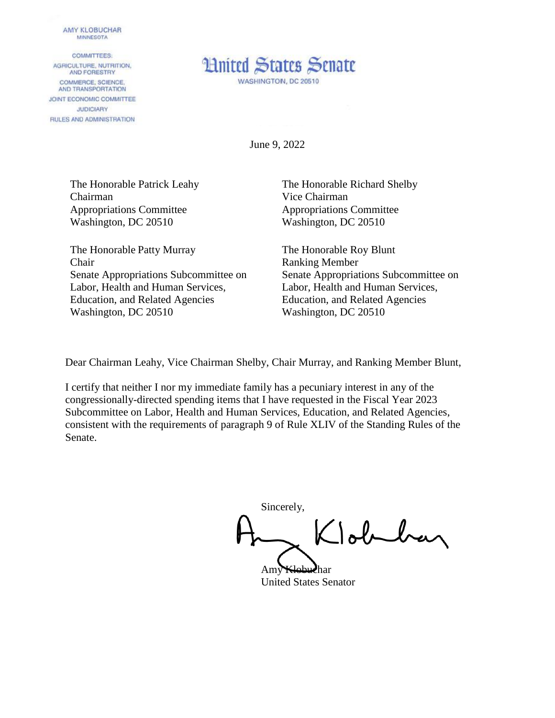## **AMY KLOBUCHAR MINNESOTA**

**COMMITTEES:** AGRICULTURE, NUTRITION, AND FORESTRY COMMERCE, SCIENCE. AND TRANSPORTATION JOINT ECONOMIC COMMITTEE **JUDICIARY** RULES AND ADMINISTRATION



June 9, 2022

The Honorable Patrick Leahy Chairman Appropriations Committee Washington, DC 20510

The Honorable Patty Murray Chair Senate Appropriations Subcommittee on Labor, Health and Human Services, Education, and Related Agencies Washington, DC 20510

The Honorable Richard Shelby Vice Chairman Appropriations Committee Washington, DC 20510

The Honorable Roy Blunt Ranking Member Senate Appropriations Subcommittee on Labor, Health and Human Services, Education, and Related Agencies Washington, DC 20510

Dear Chairman Leahy, Vice Chairman Shelby, Chair Murray, and Ranking Member Blunt,

I certify that neither I nor my immediate family has a pecuniary interest in any of the congressionally-directed spending items that I have requested in the Fiscal Year 2023 Subcommittee on Labor, Health and Human Services, Education, and Related Agencies, consistent with the requirements of paragraph 9 of Rule XLIV of the Standing Rules of the Senate.

Sincerely, Tobelay

Amy Klobuchar United States Senator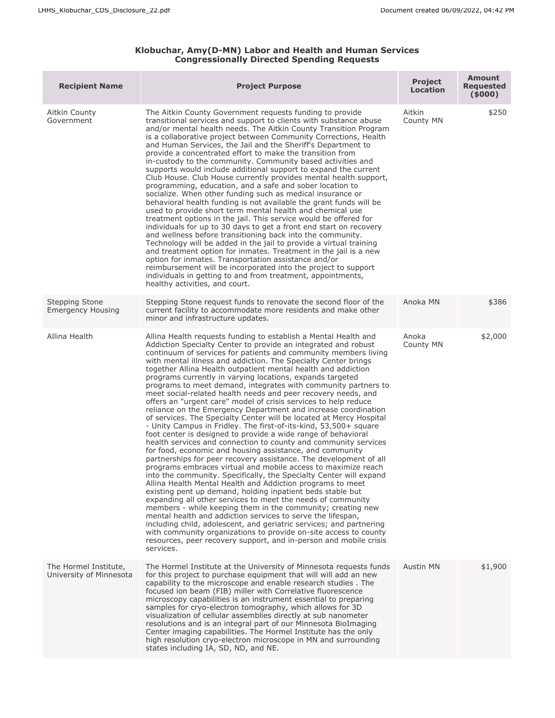## **Klobuchar, Amy(D-MN) Labor and Health and Human Services Congressionally Directed Spending Requests**

| <b>Recipient Name</b>                            | <b>Project Purpose</b>                                                                                                                                                                                                                                                                                                                                                                                                                                                                                                                                                                                                                                                                                                                                                                                                                                                                                                                                                                                                                                                                                                                                                                                                                                                                                                                                                                                                                                                                                                                                                                                                                                                                                                                                                                    | <b>Project</b><br><b>Location</b> | <b>Amount</b><br><b>Requested</b><br>(5000) |
|--------------------------------------------------|-------------------------------------------------------------------------------------------------------------------------------------------------------------------------------------------------------------------------------------------------------------------------------------------------------------------------------------------------------------------------------------------------------------------------------------------------------------------------------------------------------------------------------------------------------------------------------------------------------------------------------------------------------------------------------------------------------------------------------------------------------------------------------------------------------------------------------------------------------------------------------------------------------------------------------------------------------------------------------------------------------------------------------------------------------------------------------------------------------------------------------------------------------------------------------------------------------------------------------------------------------------------------------------------------------------------------------------------------------------------------------------------------------------------------------------------------------------------------------------------------------------------------------------------------------------------------------------------------------------------------------------------------------------------------------------------------------------------------------------------------------------------------------------------|-----------------------------------|---------------------------------------------|
| Aitkin County<br>Government                      | The Aitkin County Government requests funding to provide<br>transitional services and support to clients with substance abuse<br>and/or mental health needs. The Aitkin County Transition Program<br>is a collaborative project between Community Corrections, Health<br>and Human Services, the Jail and the Sheriff's Department to<br>provide a concentrated effort to make the transition from<br>in-custody to the community. Community based activities and<br>supports would include additional support to expand the current<br>Club House. Club House currently provides mental health support,<br>programming, education, and a safe and sober location to<br>socialize. When other funding such as medical insurance or<br>behavioral health funding is not available the grant funds will be<br>used to provide short term mental health and chemical use<br>treatment options in the jail. This service would be offered for<br>individuals for up to 30 days to get a front end start on recovery<br>and wellness before transitioning back into the community.<br>Technology will be added in the jail to provide a virtual training<br>and treatment option for inmates. Treatment in the jail is a new<br>option for inmates. Transportation assistance and/or<br>reimbursement will be incorporated into the project to support<br>individuals in getting to and from treatment, appointments,<br>healthy activities, and court.                                                                                                                                                                                                                                                                                                                                        | Aitkin<br>County MN               | \$250                                       |
| Stepping Stone<br><b>Emergency Housing</b>       | Stepping Stone request funds to renovate the second floor of the<br>current facility to accommodate more residents and make other<br>minor and infrastructure updates.                                                                                                                                                                                                                                                                                                                                                                                                                                                                                                                                                                                                                                                                                                                                                                                                                                                                                                                                                                                                                                                                                                                                                                                                                                                                                                                                                                                                                                                                                                                                                                                                                    | Anoka MN                          | \$386                                       |
| Allina Health                                    | Allina Health requests funding to establish a Mental Health and<br>Addiction Specialty Center to provide an integrated and robust<br>continuum of services for patients and community members living<br>with mental illness and addiction. The Specialty Center brings<br>together Allina Health outpatient mental health and addiction<br>programs currently in varying locations, expands targeted<br>programs to meet demand, integrates with community partners to<br>meet social-related health needs and peer recovery needs, and<br>offers an "urgent care" model of crisis services to help reduce<br>reliance on the Emergency Department and increase coordination<br>of services. The Specialty Center will be located at Mercy Hospital<br>- Unity Campus in Fridley. The first-of-its-kind, 53,500+ square<br>foot center is designed to provide a wide range of behavioral<br>health services and connection to county and community services<br>for food, economic and housing assistance, and community<br>partnerships for peer recovery assistance. The development of all<br>programs embraces virtual and mobile access to maximize reach<br>into the community. Specifically, the Specialty Center will expand<br>Allina Health Mental Health and Addiction programs to meet<br>existing pent up demand, holding inpatient beds stable but<br>expanding all other services to meet the needs of community<br>members - while keeping them in the community; creating new<br>mental health and addiction services to serve the lifespan,<br>including child, adolescent, and geriatric services; and partnering<br>with community organizations to provide on-site access to county<br>resources, peer recovery support, and in-person and mobile crisis<br>services. | Anoka<br>County MN                | \$2,000                                     |
| The Hormel Institute,<br>University of Minnesota | The Hormel Institute at the University of Minnesota requests funds<br>for this project to purchase equipment that will will add an new<br>capability to the microscope and enable research studies. The<br>focused ion beam (FIB) miller with Correlative fluorescence<br>microscopy capabilities is an instrument essential to preparing<br>samples for cryo-electron tomography, which allows for 3D<br>visualization of cellular assemblies directly at sub nanometer<br>resolutions and is an integral part of our Minnesota BioImaging<br>Center imaging capabilities. The Hormel Institute has the only<br>high resolution cryo-electron microscope in MN and surrounding<br>states including IA, SD, ND, and NE.                                                                                                                                                                                                                                                                                                                                                                                                                                                                                                                                                                                                                                                                                                                                                                                                                                                                                                                                                                                                                                                                   | Austin MN                         | \$1,900                                     |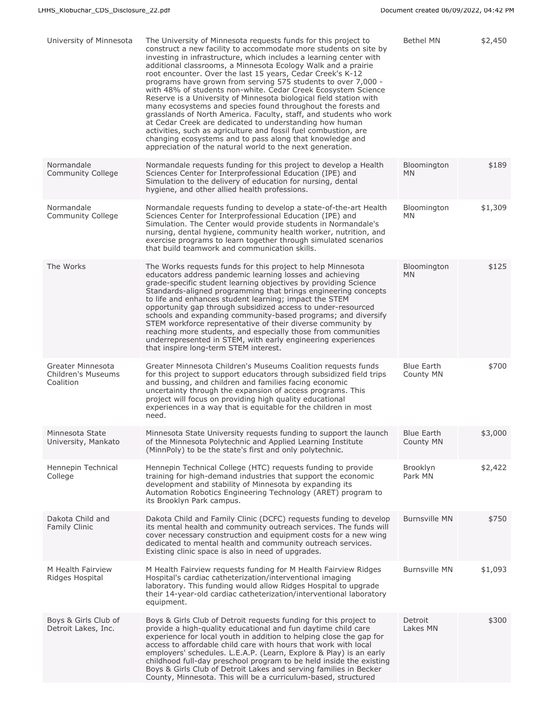| University of Minnesota                                     | The University of Minnesota requests funds for this project to<br>construct a new facility to accommodate more students on site by<br>investing in infrastructure, which includes a learning center with<br>additional classrooms, a Minnesota Ecology Walk and a prairie<br>root encounter. Over the last 15 years, Cedar Creek's K-12<br>programs have grown from serving 575 students to over 7,000 -<br>with 48% of students non-white. Cedar Creek Ecosystem Science<br>Reserve is a University of Minnesota biological field station with<br>many ecosystems and species found throughout the forests and<br>grasslands of North America. Faculty, staff, and students who work<br>at Cedar Creek are dedicated to understanding how human<br>activities, such as agriculture and fossil fuel combustion, are<br>changing ecosystems and to pass along that knowledge and<br>appreciation of the natural world to the next generation. | <b>Bethel MN</b>               | \$2,450 |
|-------------------------------------------------------------|----------------------------------------------------------------------------------------------------------------------------------------------------------------------------------------------------------------------------------------------------------------------------------------------------------------------------------------------------------------------------------------------------------------------------------------------------------------------------------------------------------------------------------------------------------------------------------------------------------------------------------------------------------------------------------------------------------------------------------------------------------------------------------------------------------------------------------------------------------------------------------------------------------------------------------------------|--------------------------------|---------|
| Normandale<br>Community College                             | Normandale requests funding for this project to develop a Health<br>Sciences Center for Interprofessional Education (IPE) and<br>Simulation to the delivery of education for nursing, dental<br>hygiene, and other allied health professions.                                                                                                                                                                                                                                                                                                                                                                                                                                                                                                                                                                                                                                                                                                | Bloomington<br><b>MN</b>       | \$189   |
| Normandale<br><b>Community College</b>                      | Normandale requests funding to develop a state-of-the-art Health<br>Sciences Center for Interprofessional Education (IPE) and<br>Simulation. The Center would provide students in Normandale's<br>nursing, dental hygiene, community health worker, nutrition, and<br>exercise programs to learn together through simulated scenarios<br>that build teamwork and communication skills.                                                                                                                                                                                                                                                                                                                                                                                                                                                                                                                                                       | Bloomington<br>MN              | \$1,309 |
| The Works                                                   | The Works requests funds for this project to help Minnesota<br>educators address pandemic learning losses and achieving<br>grade-specific student learning objectives by providing Science<br>Standards-aligned programming that brings engineering concepts<br>to life and enhances student learning; impact the STEM<br>opportunity gap through subsidized access to under-resourced<br>schools and expanding community-based programs; and diversify<br>STEM workforce representative of their diverse community by<br>reaching more students, and especially those from communities<br>underrepresented in STEM, with early engineering experiences<br>that inspire long-term STEM interest.                                                                                                                                                                                                                                             | Bloomington<br><b>MN</b>       | \$125   |
| <b>Greater Minnesota</b><br>Children's Museums<br>Coalition | Greater Minnesota Children's Museums Coalition requests funds<br>for this project to support educators through subsidized field trips<br>and bussing, and children and families facing economic<br>uncertainty through the expansion of access programs. This<br>project will focus on providing high quality educational<br>experiences in a way that is equitable for the children in most<br>need.                                                                                                                                                                                                                                                                                                                                                                                                                                                                                                                                        | <b>Blue Earth</b><br>County MN | \$700   |
| Minnesota State<br>University, Mankato                      | Minnesota State University requests funding to support the launch<br>of the Minnesota Polytechnic and Applied Learning Institute<br>(MinnPoly) to be the state's first and only polytechnic.                                                                                                                                                                                                                                                                                                                                                                                                                                                                                                                                                                                                                                                                                                                                                 | <b>Blue Earth</b><br>County MN | \$3,000 |
| Hennepin Technical<br>College                               | Hennepin Technical College (HTC) requests funding to provide<br>training for high-demand industries that support the economic<br>development and stability of Minnesota by expanding its<br>Automation Robotics Engineering Technology (ARET) program to<br>its Brooklyn Park campus.                                                                                                                                                                                                                                                                                                                                                                                                                                                                                                                                                                                                                                                        | Brooklyn<br>Park MN            | \$2,422 |
| Dakota Child and<br>Family Clinic                           | Dakota Child and Family Clinic (DCFC) requests funding to develop<br>its mental health and community outreach services. The funds will<br>cover necessary construction and equipment costs for a new wing<br>dedicated to mental health and community outreach services.<br>Existing clinic space is also in need of upgrades.                                                                                                                                                                                                                                                                                                                                                                                                                                                                                                                                                                                                               | <b>Burnsville MN</b>           | \$750   |
| M Health Fairview<br>Ridges Hospital                        | M Health Fairview requests funding for M Health Fairview Ridges<br>Hospital's cardiac catheterization/interventional imaging<br>laboratory. This funding would allow Ridges Hospital to upgrade<br>their 14-year-old cardiac catheterization/interventional laboratory<br>equipment.                                                                                                                                                                                                                                                                                                                                                                                                                                                                                                                                                                                                                                                         | <b>Burnsville MN</b>           | \$1,093 |
| Boys & Girls Club of<br>Detroit Lakes, Inc.                 | Boys & Girls Club of Detroit requests funding for this project to<br>provide a high-quality educational and fun daytime child care<br>experience for local youth in addition to helping close the gap for<br>access to affordable child care with hours that work with local<br>employers' schedules. L.E.A.P. (Learn, Explore & Play) is an early<br>childhood full-day preschool program to be held inside the existing<br>Boys & Girls Club of Detroit Lakes and serving families in Becker<br>County, Minnesota. This will be a curriculum-based, structured                                                                                                                                                                                                                                                                                                                                                                             | Detroit<br>Lakes MN            | \$300   |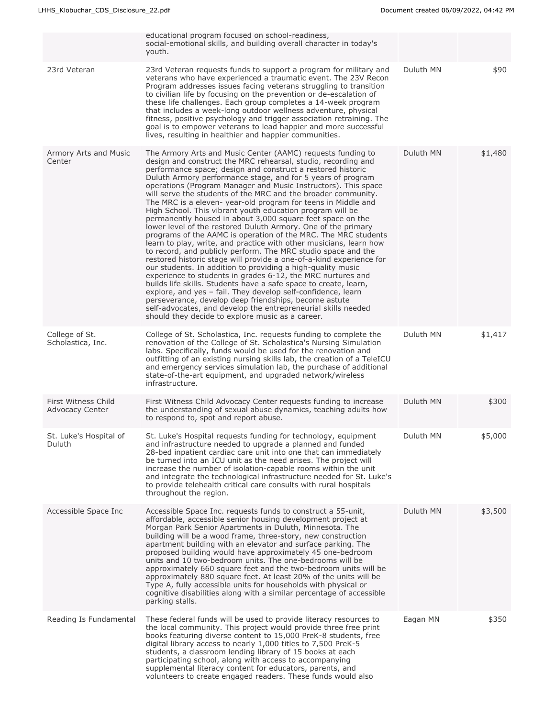|                                               | educational program focused on school-readiness,<br>social-emotional skills, and building overall character in today's<br>youth.                                                                                                                                                                                                                                                                                                                                                                                                                                                                                                                                                                                                                                                                                                                                                                                                                                                                                                                                                                                                                                                                                                                                                                                                                                                          |           |         |
|-----------------------------------------------|-------------------------------------------------------------------------------------------------------------------------------------------------------------------------------------------------------------------------------------------------------------------------------------------------------------------------------------------------------------------------------------------------------------------------------------------------------------------------------------------------------------------------------------------------------------------------------------------------------------------------------------------------------------------------------------------------------------------------------------------------------------------------------------------------------------------------------------------------------------------------------------------------------------------------------------------------------------------------------------------------------------------------------------------------------------------------------------------------------------------------------------------------------------------------------------------------------------------------------------------------------------------------------------------------------------------------------------------------------------------------------------------|-----------|---------|
| 23rd Veteran                                  | 23rd Veteran requests funds to support a program for military and<br>veterans who have experienced a traumatic event. The 23V Recon<br>Program addresses issues facing veterans struggling to transition<br>to civilian life by focusing on the prevention or de-escalation of<br>these life challenges. Each group completes a 14-week program<br>that includes a week-long outdoor wellness adventure, physical<br>fitness, positive psychology and trigger association retraining. The<br>goal is to empower veterans to lead happier and more successful<br>lives, resulting in healthier and happier communities.                                                                                                                                                                                                                                                                                                                                                                                                                                                                                                                                                                                                                                                                                                                                                                    | Duluth MN | \$90    |
| Armory Arts and Music<br>Center               | The Armory Arts and Music Center (AAMC) requests funding to<br>design and construct the MRC rehearsal, studio, recording and<br>performance space; design and construct a restored historic<br>Duluth Armory performance stage, and for 5 years of program<br>operations (Program Manager and Music Instructors). This space<br>will serve the students of the MRC and the broader community.<br>The MRC is a eleven-year-old program for teens in Middle and<br>High School. This vibrant youth education program will be<br>permanently housed in about 3,000 square feet space on the<br>lower level of the restored Duluth Armory. One of the primary<br>programs of the AAMC is operation of the MRC. The MRC students<br>learn to play, write, and practice with other musicians, learn how<br>to record, and publicly perform. The MRC studio space and the<br>restored historic stage will provide a one-of-a-kind experience for<br>our students. In addition to providing a high-quality music<br>experience to students in grades 6-12, the MRC nurtures and<br>builds life skills. Students have a safe space to create, learn,<br>explore, and yes - fail. They develop self-confidence, learn<br>perseverance, develop deep friendships, become astute<br>self-advocates, and develop the entrepreneurial skills needed<br>should they decide to explore music as a career. | Duluth MN | \$1,480 |
| College of St.<br>Scholastica, Inc.           | College of St. Scholastica, Inc. requests funding to complete the<br>renovation of the College of St. Scholastica's Nursing Simulation<br>labs. Specifically, funds would be used for the renovation and<br>outfitting of an existing nursing skills lab, the creation of a TeleICU<br>and emergency services simulation lab, the purchase of additional<br>state-of-the-art equipment, and upgraded network/wireless<br>infrastructure.                                                                                                                                                                                                                                                                                                                                                                                                                                                                                                                                                                                                                                                                                                                                                                                                                                                                                                                                                  | Duluth MN | \$1,417 |
| First Witness Child<br><b>Advocacy Center</b> | First Witness Child Advocacy Center requests funding to increase<br>the understanding of sexual abuse dynamics, teaching adults how<br>to respond to, spot and report abuse.                                                                                                                                                                                                                                                                                                                                                                                                                                                                                                                                                                                                                                                                                                                                                                                                                                                                                                                                                                                                                                                                                                                                                                                                              | Duluth MN | \$300   |
| St. Luke's Hospital of<br>Duluth              | St. Luke's Hospital requests funding for technology, equipment<br>and infrastructure needed to upgrade a planned and funded<br>28-bed inpatient cardiac care unit into one that can immediately<br>be turned into an ICU unit as the need arises. The project will<br>increase the number of isolation-capable rooms within the unit<br>and integrate the technological infrastructure needed for St. Luke's<br>to provide telehealth critical care consults with rural hospitals<br>throughout the region.                                                                                                                                                                                                                                                                                                                                                                                                                                                                                                                                                                                                                                                                                                                                                                                                                                                                               | Duluth MN | \$5,000 |
| Accessible Space Inc                          | Accessible Space Inc. requests funds to construct a 55-unit.<br>affordable, accessible senior housing development project at<br>Morgan Park Senior Apartments in Duluth, Minnesota. The<br>building will be a wood frame, three-story, new construction<br>apartment building with an elevator and surface parking. The<br>proposed building would have approximately 45 one-bedroom<br>units and 10 two-bedroom units. The one-bedrooms will be<br>approximately 660 square feet and the two-bedroom units will be<br>approximately 880 square feet. At least 20% of the units will be<br>Type A, fully accessible units for households with physical or<br>cognitive disabilities along with a similar percentage of accessible<br>parking stalls.                                                                                                                                                                                                                                                                                                                                                                                                                                                                                                                                                                                                                                      | Duluth MN | \$3,500 |
| Reading Is Fundamental                        | These federal funds will be used to provide literacy resources to<br>the local community. This project would provide three free print<br>books featuring diverse content to 15,000 PreK-8 students, free<br>digital library access to nearly 1,000 titles to 7,500 PreK-5<br>students, a classroom lending library of 15 books at each<br>participating school, along with access to accompanying<br>supplemental literacy content for educators, parents, and<br>volunteers to create engaged readers. These funds would also                                                                                                                                                                                                                                                                                                                                                                                                                                                                                                                                                                                                                                                                                                                                                                                                                                                            | Eagan MN  | \$350   |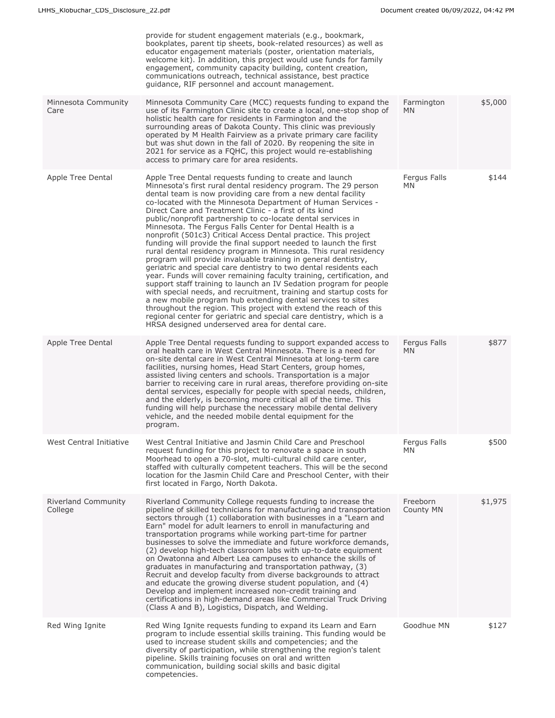|                                       | provide for student engagement materials (e.g., bookmark,<br>bookplates, parent tip sheets, book-related resources) as well as<br>educator engagement materials (poster, orientation materials,<br>welcome kit). In addition, this project would use funds for family<br>engagement, community capacity building, content creation,<br>communications outreach, technical assistance, best practice<br>quidance, RIF personnel and account management.                                                                                                                                                                                                                                                                                                                                                                                                                                                                                                                                                                                                                                                                                                                                                                                                                                     |                           |         |
|---------------------------------------|--------------------------------------------------------------------------------------------------------------------------------------------------------------------------------------------------------------------------------------------------------------------------------------------------------------------------------------------------------------------------------------------------------------------------------------------------------------------------------------------------------------------------------------------------------------------------------------------------------------------------------------------------------------------------------------------------------------------------------------------------------------------------------------------------------------------------------------------------------------------------------------------------------------------------------------------------------------------------------------------------------------------------------------------------------------------------------------------------------------------------------------------------------------------------------------------------------------------------------------------------------------------------------------------|---------------------------|---------|
| Minnesota Community<br>Care           | Minnesota Community Care (MCC) requests funding to expand the<br>use of its Farmington Clinic site to create a local, one-stop shop of<br>holistic health care for residents in Farmington and the<br>surrounding areas of Dakota County. This clinic was previously<br>operated by M Health Fairview as a private primary care facility<br>but was shut down in the fall of 2020. By reopening the site in<br>2021 for service as a FQHC, this project would re-establishing<br>access to primary care for area residents.                                                                                                                                                                                                                                                                                                                                                                                                                                                                                                                                                                                                                                                                                                                                                                | Farmington<br><b>MN</b>   | \$5,000 |
| Apple Tree Dental                     | Apple Tree Dental requests funding to create and launch<br>Minnesota's first rural dental residency program. The 29 person<br>dental team is now providing care from a new dental facility<br>co-located with the Minnesota Department of Human Services -<br>Direct Care and Treatment Clinic - a first of its kind<br>public/nonprofit partnership to co-locate dental services in<br>Minnesota. The Fergus Falls Center for Dental Health is a<br>nonprofit (501c3) Critical Access Dental practice. This project<br>funding will provide the final support needed to launch the first<br>rural dental residency program in Minnesota. This rural residency<br>program will provide invaluable training in general dentistry,<br>geriatric and special care dentistry to two dental residents each<br>year. Funds will cover remaining faculty training, certification, and<br>support staff training to launch an IV Sedation program for people<br>with special needs, and recruitment, training and startup costs for<br>a new mobile program hub extending dental services to sites<br>throughout the region. This project with extend the reach of this<br>regional center for geriatric and special care dentistry, which is a<br>HRSA designed underserved area for dental care. | Fergus Falls<br><b>MN</b> | \$144   |
| Apple Tree Dental                     | Apple Tree Dental requests funding to support expanded access to<br>oral health care in West Central Minnesota. There is a need for<br>on-site dental care in West Central Minnesota at long-term care<br>facilities, nursing homes, Head Start Centers, group homes,<br>assisted living centers and schools. Transportation is a major<br>barrier to receiving care in rural areas, therefore providing on-site<br>dental services, especially for people with special needs, children,<br>and the elderly, is becoming more critical all of the time. This<br>funding will help purchase the necessary mobile dental delivery<br>vehicle, and the needed mobile dental equipment for the<br>program.                                                                                                                                                                                                                                                                                                                                                                                                                                                                                                                                                                                     | Fergus Falls<br><b>MN</b> | \$877   |
| West Central Initiative               | West Central Initiative and Jasmin Child Care and Preschool<br>request funding for this project to renovate a space in south<br>Moorhead to open a 70-slot, multi-cultural child care center,<br>staffed with culturally competent teachers. This will be the second<br>location for the Jasmin Child Care and Preschool Center, with their<br>first located in Fargo, North Dakota.                                                                                                                                                                                                                                                                                                                                                                                                                                                                                                                                                                                                                                                                                                                                                                                                                                                                                                       | Fergus Falls<br><b>MN</b> | \$500   |
| <b>Riverland Community</b><br>College | Riverland Community College requests funding to increase the<br>pipeline of skilled technicians for manufacturing and transportation<br>sectors through (1) collaboration with businesses in a "Learn and<br>Earn" model for adult learners to enroll in manufacturing and<br>transportation programs while working part-time for partner<br>businesses to solve the immediate and future workforce demands,<br>(2) develop high-tech classroom labs with up-to-date equipment<br>on Owatonna and Albert Lea campuses to enhance the skills of<br>graduates in manufacturing and transportation pathway, (3)<br>Recruit and develop faculty from diverse backgrounds to attract<br>and educate the growing diverse student population, and (4)<br>Develop and implement increased non-credit training and<br>certifications in high-demand areas like Commercial Truck Driving<br>(Class A and B), Logistics, Dispatch, and Welding.                                                                                                                                                                                                                                                                                                                                                       | Freeborn<br>County MN     | \$1,975 |
| Red Wing Ignite                       | Red Wing Ignite requests funding to expand its Learn and Earn<br>program to include essential skills training. This funding would be<br>used to increase student skills and competencies; and the<br>diversity of participation, while strengthening the region's talent<br>pipeline. Skills training focuses on oral and written<br>communication, building social skills and basic digital<br>competencies.                                                                                                                                                                                                                                                                                                                                                                                                                                                                                                                                                                                                                                                                                                                                                                                                                                                                              | Goodhue MN                | \$127   |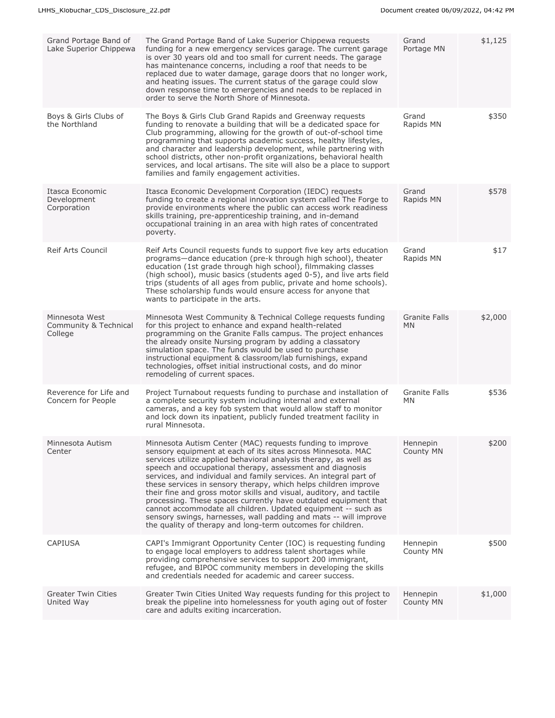| Grand Portage Band of<br>Lake Superior Chippewa    | The Grand Portage Band of Lake Superior Chippewa requests<br>funding for a new emergency services garage. The current garage<br>is over 30 years old and too small for current needs. The garage<br>has maintenance concerns, including a roof that needs to be<br>replaced due to water damage, garage doors that no longer work,<br>and heating issues. The current status of the garage could slow<br>down response time to emergencies and needs to be replaced in<br>order to serve the North Shore of Minnesota.                                                                                                                                                                                                                           | Grand<br>Portage MN               | \$1,125 |
|----------------------------------------------------|--------------------------------------------------------------------------------------------------------------------------------------------------------------------------------------------------------------------------------------------------------------------------------------------------------------------------------------------------------------------------------------------------------------------------------------------------------------------------------------------------------------------------------------------------------------------------------------------------------------------------------------------------------------------------------------------------------------------------------------------------|-----------------------------------|---------|
| Boys & Girls Clubs of<br>the Northland             | The Boys & Girls Club Grand Rapids and Greenway requests<br>funding to renovate a building that will be a dedicated space for<br>Club programming, allowing for the growth of out-of-school time<br>programming that supports academic success, healthy lifestyles,<br>and character and leadership development, while partnering with<br>school districts, other non-profit organizations, behavioral health<br>services, and local artisans. The site will also be a place to support<br>families and family engagement activities.                                                                                                                                                                                                            | Grand<br>Rapids MN                | \$350   |
| Itasca Economic<br>Development<br>Corporation      | Itasca Economic Development Corporation (IEDC) requests<br>funding to create a regional innovation system called The Forge to<br>provide environments where the public can access work readiness<br>skills training, pre-apprenticeship training, and in-demand<br>occupational training in an area with high rates of concentrated<br>poverty.                                                                                                                                                                                                                                                                                                                                                                                                  | Grand<br>Rapids MN                | \$578   |
| <b>Reif Arts Council</b>                           | Reif Arts Council requests funds to support five key arts education<br>programs-dance education (pre-k through high school), theater<br>education (1st grade through high school), filmmaking classes<br>(high school), music basics (students aged 0-5), and live arts field<br>trips (students of all ages from public, private and home schools).<br>These scholarship funds would ensure access for anyone that<br>wants to participate in the arts.                                                                                                                                                                                                                                                                                         | Grand<br>Rapids MN                | \$17    |
| Minnesota West<br>Community & Technical<br>College | Minnesota West Community & Technical College requests funding<br>for this project to enhance and expand health-related<br>programming on the Granite Falls campus. The project enhances<br>the already onsite Nursing program by adding a classatory<br>simulation space. The funds would be used to purchase<br>instructional equipment & classroom/lab furnishings, expand<br>technologies, offset initial instructional costs, and do minor<br>remodeling of current spaces.                                                                                                                                                                                                                                                                  | <b>Granite Falls</b><br><b>MN</b> | \$2,000 |
| Reverence for Life and<br>Concern for People       | Project Turnabout requests funding to purchase and installation of<br>a complete security system including internal and external<br>cameras, and a key fob system that would allow staff to monitor<br>and lock down its inpatient, publicly funded treatment facility in<br>rural Minnesota.                                                                                                                                                                                                                                                                                                                                                                                                                                                    | <b>Granite Falls</b><br><b>MN</b> | \$536   |
| Minnesota Autism<br>Center                         | Minnesota Autism Center (MAC) requests funding to improve<br>sensory equipment at each of its sites across Minnesota. MAC<br>services utilize applied behavioral analysis therapy, as well as<br>speech and occupational therapy, assessment and diagnosis<br>services, and individual and family services. An integral part of<br>these services in sensory therapy, which helps children improve<br>their fine and gross motor skills and visual, auditory, and tactile<br>processing. These spaces currently have outdated equipment that<br>cannot accommodate all children. Updated equipment -- such as<br>sensory swings, harnesses, wall padding and mats -- will improve<br>the quality of therapy and long-term outcomes for children. | Hennepin<br>County MN             | \$200   |
| <b>CAPIUSA</b>                                     | CAPI's Immigrant Opportunity Center (IOC) is requesting funding<br>to engage local employers to address talent shortages while<br>providing comprehensive services to support 200 immigrant,<br>refugee, and BIPOC community members in developing the skills<br>and credentials needed for academic and career success.                                                                                                                                                                                                                                                                                                                                                                                                                         | Hennepin<br>County MN             | \$500   |
| <b>Greater Twin Cities</b><br>United Way           | Greater Twin Cities United Way requests funding for this project to<br>break the pipeline into homelessness for youth aging out of foster<br>care and adults exiting incarceration.                                                                                                                                                                                                                                                                                                                                                                                                                                                                                                                                                              | Hennepin<br>County MN             | \$1,000 |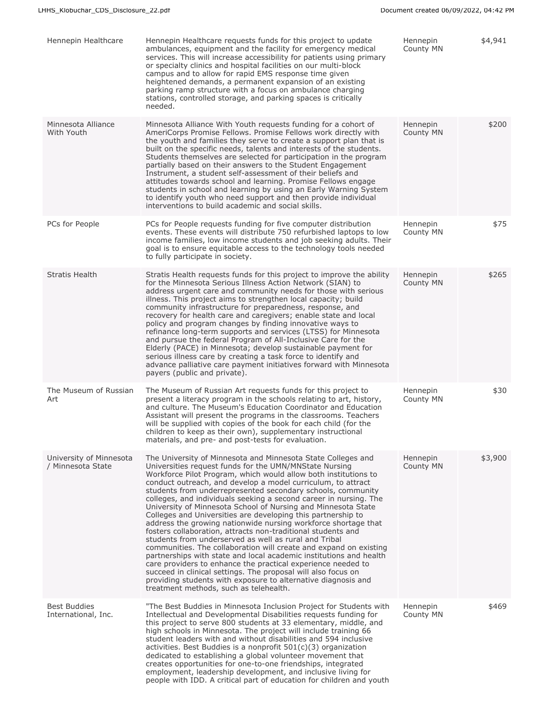| Hennepin Healthcare                          | Hennepin Healthcare requests funds for this project to update<br>ambulances, equipment and the facility for emergency medical<br>services. This will increase accessibility for patients using primary<br>or specialty clinics and hospital facilities on our multi-block<br>campus and to allow for rapid EMS response time given<br>heightened demands, a permanent expansion of an existing<br>parking ramp structure with a focus on ambulance charging<br>stations, controlled storage, and parking spaces is critically<br>needed.                                                                                                                                                                                                                                                                                                                                                                                                                                                                                                                                                                         | Hennepin<br>County MN | \$4,941 |
|----------------------------------------------|------------------------------------------------------------------------------------------------------------------------------------------------------------------------------------------------------------------------------------------------------------------------------------------------------------------------------------------------------------------------------------------------------------------------------------------------------------------------------------------------------------------------------------------------------------------------------------------------------------------------------------------------------------------------------------------------------------------------------------------------------------------------------------------------------------------------------------------------------------------------------------------------------------------------------------------------------------------------------------------------------------------------------------------------------------------------------------------------------------------|-----------------------|---------|
| Minnesota Alliance<br>With Youth             | Minnesota Alliance With Youth requests funding for a cohort of<br>AmeriCorps Promise Fellows. Promise Fellows work directly with<br>the youth and families they serve to create a support plan that is<br>built on the specific needs, talents and interests of the students.<br>Students themselves are selected for participation in the program<br>partially based on their answers to the Student Engagement<br>Instrument, a student self-assessment of their beliefs and<br>attitudes towards school and learning. Promise Fellows engage<br>students in school and learning by using an Early Warning System<br>to identify youth who need support and then provide individual<br>interventions to build academic and social skills.                                                                                                                                                                                                                                                                                                                                                                      | Hennepin<br>County MN | \$200   |
| PCs for People                               | PCs for People requests funding for five computer distribution<br>events. These events will distribute 750 refurbished laptops to low<br>income families, low income students and job seeking adults. Their<br>goal is to ensure equitable access to the technology tools needed<br>to fully participate in society.                                                                                                                                                                                                                                                                                                                                                                                                                                                                                                                                                                                                                                                                                                                                                                                             | Hennepin<br>County MN | \$75    |
| <b>Stratis Health</b>                        | Stratis Health requests funds for this project to improve the ability<br>for the Minnesota Serious Illness Action Network (SIAN) to<br>address urgent care and community needs for those with serious<br>illness. This project aims to strengthen local capacity; build<br>community infrastructure for preparedness, response, and<br>recovery for health care and caregivers; enable state and local<br>policy and program changes by finding innovative ways to<br>refinance long-term supports and services (LTSS) for Minnesota<br>and pursue the federal Program of All-Inclusive Care for the<br>Elderly (PACE) in Minnesota; develop sustainable payment for<br>serious illness care by creating a task force to identify and<br>advance palliative care payment initiatives forward with Minnesota<br>payers (public and private).                                                                                                                                                                                                                                                                      | Hennepin<br>County MN | \$265   |
| The Museum of Russian<br>Art                 | The Museum of Russian Art requests funds for this project to<br>present a literacy program in the schools relating to art, history,<br>and culture. The Museum's Education Coordinator and Education<br>Assistant will present the programs in the classrooms. Teachers<br>will be supplied with copies of the book for each child (for the<br>children to keep as their own), supplementary instructional<br>materials, and pre- and post-tests for evaluation.                                                                                                                                                                                                                                                                                                                                                                                                                                                                                                                                                                                                                                                 | Hennepin<br>County MN | \$30    |
| University of Minnesota<br>/ Minnesota State | The University of Minnesota and Minnesota State Colleges and<br>Universities request funds for the UMN/MNState Nursing<br>Workforce Pilot Program, which would allow both institutions to<br>conduct outreach, and develop a model curriculum, to attract<br>students from underrepresented secondary schools, community<br>colleges, and individuals seeking a second career in nursing. The<br>University of Minnesota School of Nursing and Minnesota State<br>Colleges and Universities are developing this partnership to<br>address the growing nationwide nursing workforce shortage that<br>fosters collaboration, attracts non-traditional students and<br>students from underserved as well as rural and Tribal<br>communities. The collaboration will create and expand on existing<br>partnerships with state and local academic institutions and health<br>care providers to enhance the practical experience needed to<br>succeed in clinical settings. The proposal will also focus on<br>providing students with exposure to alternative diagnosis and<br>treatment methods, such as telehealth. | Hennepin<br>County MN | \$3,900 |
| <b>Best Buddies</b><br>International, Inc.   | "The Best Buddies in Minnesota Inclusion Project for Students with<br>Intellectual and Developmental Disabilities requests funding for<br>this project to serve 800 students at 33 elementary, middle, and<br>high schools in Minnesota. The project will include training 66<br>student leaders with and without disabilities and 594 inclusive<br>activities. Best Buddies is a nonprofit $501(c)(3)$ organization<br>dedicated to establishing a global volunteer movement that<br>creates opportunities for one-to-one friendships, integrated<br>employment, leadership development, and inclusive living for<br>people with IDD. A critical part of education for children and youth                                                                                                                                                                                                                                                                                                                                                                                                                       | Hennepin<br>County MN | \$469   |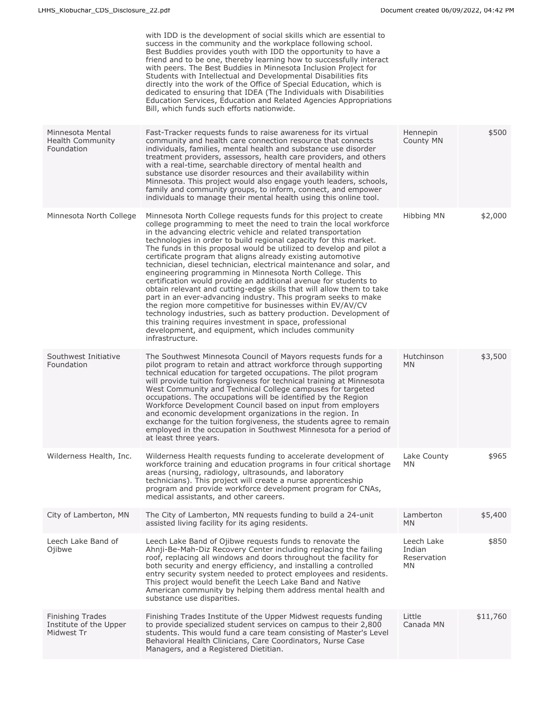|                                                                 | with IDD is the development of social skills which are essential to<br>success in the community and the workplace following school.<br>Best Buddies provides youth with IDD the opportunity to have a<br>friend and to be one, thereby learning how to successfully interact<br>with peers. The Best Buddies in Minnesota Inclusion Project for<br>Students with Intellectual and Developmental Disabilities fits<br>directly into the work of the Office of Special Education, which is<br>dedicated to ensuring that IDEA (The Individuals with Disabilities<br>Education Services, Education and Related Agencies Appropriations<br>Bill, which funds such efforts nationwide.                                                                                                                                                                                                                                                                                                                                                             |                                            |          |
|-----------------------------------------------------------------|-----------------------------------------------------------------------------------------------------------------------------------------------------------------------------------------------------------------------------------------------------------------------------------------------------------------------------------------------------------------------------------------------------------------------------------------------------------------------------------------------------------------------------------------------------------------------------------------------------------------------------------------------------------------------------------------------------------------------------------------------------------------------------------------------------------------------------------------------------------------------------------------------------------------------------------------------------------------------------------------------------------------------------------------------|--------------------------------------------|----------|
| Minnesota Mental<br>Health Community<br>Foundation              | Fast-Tracker requests funds to raise awareness for its virtual<br>community and health care connection resource that connects<br>individuals, families, mental health and substance use disorder<br>treatment providers, assessors, health care providers, and others<br>with a real-time, searchable directory of mental health and<br>substance use disorder resources and their availability within<br>Minnesota. This project would also engage youth leaders, schools,<br>family and community groups, to inform, connect, and empower<br>individuals to manage their mental health using this online tool.                                                                                                                                                                                                                                                                                                                                                                                                                              | Hennepin<br>County MN                      | \$500    |
| Minnesota North College                                         | Minnesota North College requests funds for this project to create<br>college programming to meet the need to train the local workforce<br>in the advancing electric vehicle and related transportation<br>technologies in order to build regional capacity for this market.<br>The funds in this proposal would be utilized to develop and pilot a<br>certificate program that aligns already existing automotive<br>technician, diesel technician, electrical maintenance and solar, and<br>engineering programming in Minnesota North College. This<br>certification would provide an additional avenue for students to<br>obtain relevant and cutting-edge skills that will allow them to take<br>part in an ever-advancing industry. This program seeks to make<br>the region more competitive for businesses within EV/AV/CV<br>technology industries, such as battery production. Development of<br>this training requires investment in space, professional<br>development, and equipment, which includes community<br>infrastructure. | <b>Hibbing MN</b>                          | \$2,000  |
| Southwest Initiative<br>Foundation                              | The Southwest Minnesota Council of Mayors requests funds for a<br>pilot program to retain and attract workforce through supporting<br>technical education for targeted occupations. The pilot program<br>will provide tuition forgiveness for technical training at Minnesota<br>West Community and Technical College campuses for targeted<br>occupations. The occupations will be identified by the Region<br>Workforce Development Council based on input from employers<br>and economic development organizations in the region. In<br>exchange for the tuition forgiveness, the students agree to remain<br>employed in the occupation in Southwest Minnesota for a period of<br>at least three years.                                                                                                                                                                                                                                                                                                                                   | Hutchinson<br>MN.                          | \$3,500  |
| Wilderness Health, Inc.                                         | Wilderness Health requests funding to accelerate development of<br>workforce training and education programs in four critical shortage<br>areas (nursing, radiology, ultrasounds, and laboratory<br>technicians). This project will create a nurse apprenticeship<br>program and provide workforce development program for CNAs,<br>medical assistants, and other careers.                                                                                                                                                                                                                                                                                                                                                                                                                                                                                                                                                                                                                                                                    | Lake County<br>MN.                         | \$965    |
| City of Lamberton, MN                                           | The City of Lamberton, MN requests funding to build a 24-unit<br>assisted living facility for its aging residents.                                                                                                                                                                                                                                                                                                                                                                                                                                                                                                                                                                                                                                                                                                                                                                                                                                                                                                                            | Lamberton<br><b>MN</b>                     | \$5,400  |
| Leech Lake Band of<br>Ojibwe                                    | Leech Lake Band of Ojibwe requests funds to renovate the<br>Ahnji-Be-Mah-Diz Recovery Center including replacing the failing<br>roof, replacing all windows and doors throughout the facility for<br>both security and energy efficiency, and installing a controlled<br>entry security system needed to protect employees and residents.<br>This project would benefit the Leech Lake Band and Native<br>American community by helping them address mental health and<br>substance use disparities.                                                                                                                                                                                                                                                                                                                                                                                                                                                                                                                                          | Leech Lake<br>Indian<br>Reservation<br>MN. | \$850    |
| <b>Finishing Trades</b><br>Institute of the Upper<br>Midwest Tr | Finishing Trades Institute of the Upper Midwest requests funding<br>to provide specialized student services on campus to their 2,800<br>students. This would fund a care team consisting of Master's Level<br>Behavioral Health Clinicians, Care Coordinators, Nurse Case<br>Managers, and a Registered Dietitian.                                                                                                                                                                                                                                                                                                                                                                                                                                                                                                                                                                                                                                                                                                                            | Little<br>Canada MN                        | \$11,760 |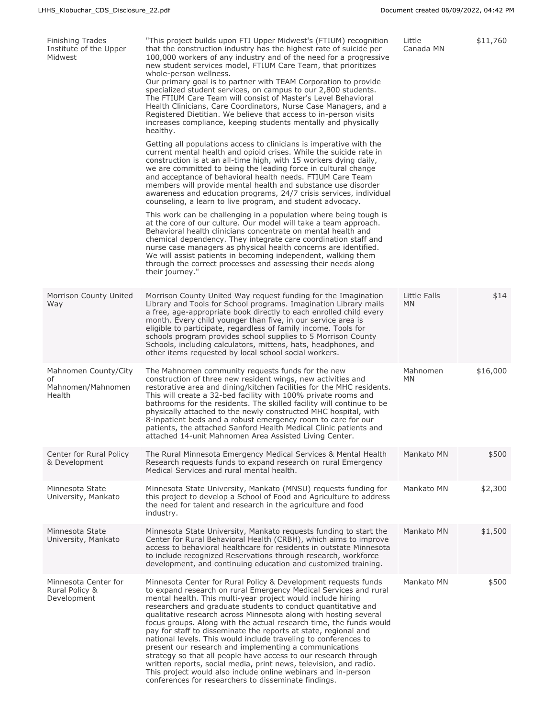| Finishing Trades<br>Institute of the Upper<br>Midwest     | "This project builds upon FTI Upper Midwest's (FTIUM) recognition<br>that the construction industry has the highest rate of suicide per<br>100,000 workers of any industry and of the need for a progressive<br>new student services model, FTIUM Care Team, that prioritizes<br>whole-person wellness.<br>Our primary goal is to partner with TEAM Corporation to provide<br>specialized student services, on campus to our 2,800 students.<br>The FTIUM Care Team will consist of Master's Level Behavioral<br>Health Clinicians, Care Coordinators, Nurse Case Managers, and a<br>Registered Dietitian. We believe that access to in-person visits<br>increases compliance, keeping students mentally and physically<br>healthy.<br>Getting all populations access to clinicians is imperative with the<br>current mental health and opioid crises. While the suicide rate in<br>construction is at an all-time high, with 15 workers dying daily,<br>we are committed to being the leading force in cultural change<br>and acceptance of behavioral health needs. FTIUM Care Team<br>members will provide mental health and substance use disorder<br>awareness and education programs, 24/7 crisis services, individual<br>counseling, a learn to live program, and student advocacy.<br>This work can be challenging in a population where being tough is<br>at the core of our culture. Our model will take a team approach.<br>Behavioral health clinicians concentrate on mental health and<br>chemical dependency. They integrate care coordination staff and<br>nurse case managers as physical health concerns are identified.<br>We will assist patients in becoming independent, walking them<br>through the correct processes and assessing their needs along<br>their journey." | Little<br>Canada MN       | \$11,760 |
|-----------------------------------------------------------|-------------------------------------------------------------------------------------------------------------------------------------------------------------------------------------------------------------------------------------------------------------------------------------------------------------------------------------------------------------------------------------------------------------------------------------------------------------------------------------------------------------------------------------------------------------------------------------------------------------------------------------------------------------------------------------------------------------------------------------------------------------------------------------------------------------------------------------------------------------------------------------------------------------------------------------------------------------------------------------------------------------------------------------------------------------------------------------------------------------------------------------------------------------------------------------------------------------------------------------------------------------------------------------------------------------------------------------------------------------------------------------------------------------------------------------------------------------------------------------------------------------------------------------------------------------------------------------------------------------------------------------------------------------------------------------------------------------------------------------------------------------------------------------------------|---------------------------|----------|
| Morrison County United<br>Way                             | Morrison County United Way request funding for the Imagination<br>Library and Tools for School programs. Imagination Library mails<br>a free, age-appropriate book directly to each enrolled child every<br>month. Every child younger than five, in our service area is<br>eligible to participate, regardless of family income. Tools for<br>schools program provides school supplies to 5 Morrison County<br>Schools, including calculators, mittens, hats, headphones, and<br>other items requested by local school social workers.                                                                                                                                                                                                                                                                                                                                                                                                                                                                                                                                                                                                                                                                                                                                                                                                                                                                                                                                                                                                                                                                                                                                                                                                                                                         | Little Falls<br><b>MN</b> | \$14     |
| Mahnomen County/City<br>of<br>Mahnomen/Mahnomen<br>Health | The Mahnomen community requests funds for the new<br>construction of three new resident wings, new activities and<br>restorative area and dining/kitchen facilities for the MHC residents.<br>This will create a 32-bed facility with 100% private rooms and<br>bathrooms for the residents. The skilled facility will continue to be<br>physically attached to the newly constructed MHC hospital, with<br>8-inpatient beds and a robust emergency room to care for our<br>patients, the attached Sanford Health Medical Clinic patients and<br>attached 14-unit Mahnomen Area Assisted Living Center.                                                                                                                                                                                                                                                                                                                                                                                                                                                                                                                                                                                                                                                                                                                                                                                                                                                                                                                                                                                                                                                                                                                                                                                         | Mahnomen<br><b>MN</b>     | \$16,000 |
| Center for Rural Policy<br>& Development                  | The Rural Minnesota Emergency Medical Services & Mental Health<br>Research requests funds to expand research on rural Emergency<br>Medical Services and rural mental health.                                                                                                                                                                                                                                                                                                                                                                                                                                                                                                                                                                                                                                                                                                                                                                                                                                                                                                                                                                                                                                                                                                                                                                                                                                                                                                                                                                                                                                                                                                                                                                                                                    | Mankato MN                | \$500    |
| Minnesota State<br>University, Mankato                    | Minnesota State University, Mankato (MNSU) requests funding for<br>this project to develop a School of Food and Agriculture to address<br>the need for talent and research in the agriculture and food<br>industry.                                                                                                                                                                                                                                                                                                                                                                                                                                                                                                                                                                                                                                                                                                                                                                                                                                                                                                                                                                                                                                                                                                                                                                                                                                                                                                                                                                                                                                                                                                                                                                             | Mankato MN                | \$2,300  |
| Minnesota State<br>University, Mankato                    | Minnesota State University, Mankato requests funding to start the<br>Center for Rural Behavioral Health (CRBH), which aims to improve<br>access to behavioral healthcare for residents in outstate Minnesota<br>to include recognized Reservations through research, workforce<br>development, and continuing education and customized training.                                                                                                                                                                                                                                                                                                                                                                                                                                                                                                                                                                                                                                                                                                                                                                                                                                                                                                                                                                                                                                                                                                                                                                                                                                                                                                                                                                                                                                                | Mankato MN                | \$1,500  |
| Minnesota Center for<br>Rural Policy &<br>Development     | Minnesota Center for Rural Policy & Development requests funds<br>to expand research on rural Emergency Medical Services and rural<br>mental health. This multi-year project would include hiring<br>researchers and graduate students to conduct quantitative and<br>qualitative research across Minnesota along with hosting several<br>focus groups. Along with the actual research time, the funds would<br>pay for staff to disseminate the reports at state, regional and<br>national levels. This would include traveling to conferences to<br>present our research and implementing a communications<br>strategy so that all people have access to our research through<br>written reports, social media, print news, television, and radio.<br>This project would also include online webinars and in-person<br>conferences for researchers to disseminate findings.                                                                                                                                                                                                                                                                                                                                                                                                                                                                                                                                                                                                                                                                                                                                                                                                                                                                                                                   | Mankato MN                | \$500    |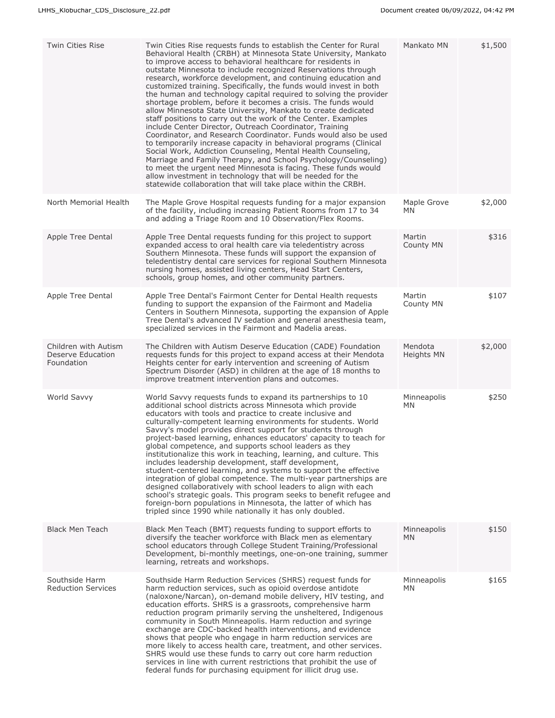| Twin Cities Rise                                        | Twin Cities Rise requests funds to establish the Center for Rural<br>Behavioral Health (CRBH) at Minnesota State University, Mankato<br>to improve access to behavioral healthcare for residents in<br>outstate Minnesota to include recognized Reservations through<br>research, workforce development, and continuing education and<br>customized training. Specifically, the funds would invest in both<br>the human and technology capital required to solving the provider<br>shortage problem, before it becomes a crisis. The funds would<br>allow Minnesota State University, Mankato to create dedicated<br>staff positions to carry out the work of the Center. Examples<br>include Center Director, Outreach Coordinator, Training<br>Coordinator, and Research Coordinator. Funds would also be used<br>to temporarily increase capacity in behavioral programs (Clinical<br>Social Work, Addiction Counseling, Mental Health Counseling,<br>Marriage and Family Therapy, and School Psychology/Counseling)<br>to meet the urgent need Minnesota is facing. These funds would<br>allow investment in technology that will be needed for the<br>statewide collaboration that will take place within the CRBH. | Mankato MN               | \$1,500 |
|---------------------------------------------------------|--------------------------------------------------------------------------------------------------------------------------------------------------------------------------------------------------------------------------------------------------------------------------------------------------------------------------------------------------------------------------------------------------------------------------------------------------------------------------------------------------------------------------------------------------------------------------------------------------------------------------------------------------------------------------------------------------------------------------------------------------------------------------------------------------------------------------------------------------------------------------------------------------------------------------------------------------------------------------------------------------------------------------------------------------------------------------------------------------------------------------------------------------------------------------------------------------------------------------|--------------------------|---------|
| North Memorial Health                                   | The Maple Grove Hospital requests funding for a major expansion<br>of the facility, including increasing Patient Rooms from 17 to 34<br>and adding a Triage Room and 10 Observation/Flex Rooms.                                                                                                                                                                                                                                                                                                                                                                                                                                                                                                                                                                                                                                                                                                                                                                                                                                                                                                                                                                                                                          | Maple Grove<br><b>MN</b> | \$2,000 |
| Apple Tree Dental                                       | Apple Tree Dental requests funding for this project to support<br>expanded access to oral health care via teledentistry across<br>Southern Minnesota. These funds will support the expansion of<br>teledentistry dental care services for regional Southern Minnesota<br>nursing homes, assisted living centers, Head Start Centers,<br>schools, group homes, and other community partners.                                                                                                                                                                                                                                                                                                                                                                                                                                                                                                                                                                                                                                                                                                                                                                                                                              | Martin<br>County MN      | \$316   |
| Apple Tree Dental                                       | Apple Tree Dental's Fairmont Center for Dental Health requests<br>funding to support the expansion of the Fairmont and Madelia<br>Centers in Southern Minnesota, supporting the expansion of Apple<br>Tree Dental's advanced IV sedation and general anesthesia team,<br>specialized services in the Fairmont and Madelia areas.                                                                                                                                                                                                                                                                                                                                                                                                                                                                                                                                                                                                                                                                                                                                                                                                                                                                                         | Martin<br>County MN      | \$107   |
| Children with Autism<br>Deserve Education<br>Foundation | The Children with Autism Deserve Education (CADE) Foundation<br>requests funds for this project to expand access at their Mendota<br>Heights center for early intervention and screening of Autism<br>Spectrum Disorder (ASD) in children at the age of 18 months to<br>improve treatment intervention plans and outcomes.                                                                                                                                                                                                                                                                                                                                                                                                                                                                                                                                                                                                                                                                                                                                                                                                                                                                                               | Mendota<br>Heights MN    | \$2,000 |
| World Savvy                                             | World Savvy requests funds to expand its partnerships to 10<br>additional school districts across Minnesota which provide<br>educators with tools and practice to create inclusive and<br>culturally-competent learning environments for students. World<br>Savvy's model provides direct support for students through<br>project-based learning, enhances educators' capacity to teach for<br>global competence, and supports school leaders as they<br>institutionalize this work in teaching, learning, and culture. This<br>includes leadership development, staff development,<br>student-centered learning, and systems to support the effective<br>integration of global competence. The multi-year partnerships are<br>designed collaboratively with school leaders to align with each<br>school's strategic goals. This program seeks to benefit refugee and<br>foreign-born populations in Minnesota, the latter of which has<br>tripled since 1990 while nationally it has only doubled.                                                                                                                                                                                                                      | Minneapolis<br>MN        | \$250   |
| <b>Black Men Teach</b>                                  | Black Men Teach (BMT) requests funding to support efforts to<br>diversify the teacher workforce with Black men as elementary<br>school educators through College Student Training/Professional<br>Development, bi-monthly meetings, one-on-one training, summer<br>learning, retreats and workshops.                                                                                                                                                                                                                                                                                                                                                                                                                                                                                                                                                                                                                                                                                                                                                                                                                                                                                                                     | Minneapolis<br><b>MN</b> | \$150   |
| Southside Harm<br><b>Reduction Services</b>             | Southside Harm Reduction Services (SHRS) request funds for<br>harm reduction services, such as opioid overdose antidote<br>(naloxone/Narcan), on-demand mobile delivery, HIV testing, and<br>education efforts. SHRS is a grassroots, comprehensive harm<br>reduction program primarily serving the unsheltered, Indigenous<br>community in South Minneapolis. Harm reduction and syringe<br>exchange are CDC-backed health interventions, and evidence<br>shows that people who engage in harm reduction services are<br>more likely to access health care, treatment, and other services.<br>SHRS would use these funds to carry out core harm reduction<br>services in line with current restrictions that prohibit the use of<br>federal funds for purchasing equipment for illicit drug use.                                                                                                                                                                                                                                                                                                                                                                                                                        | Minneapolis<br><b>MN</b> | \$165   |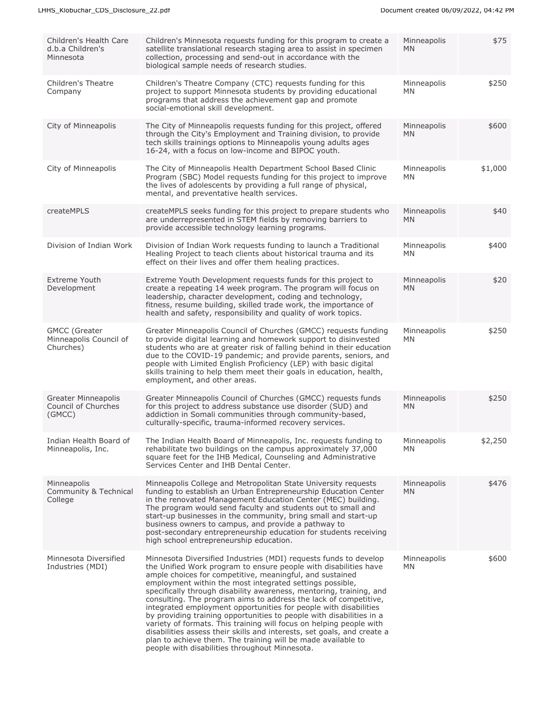| Children's Health Care<br>d.b.a Children's<br>Minnesota     | Children's Minnesota requests funding for this program to create a<br>satellite translational research staging area to assist in specimen<br>collection, processing and send-out in accordance with the<br>biological sample needs of research studies.                                                                                                                                                                                                                                                                                                                                                                                                                                                                                                                                                                 | Minneapolis<br>MN        | \$75    |
|-------------------------------------------------------------|-------------------------------------------------------------------------------------------------------------------------------------------------------------------------------------------------------------------------------------------------------------------------------------------------------------------------------------------------------------------------------------------------------------------------------------------------------------------------------------------------------------------------------------------------------------------------------------------------------------------------------------------------------------------------------------------------------------------------------------------------------------------------------------------------------------------------|--------------------------|---------|
| Children's Theatre<br>Company                               | Children's Theatre Company (CTC) requests funding for this<br>project to support Minnesota students by providing educational<br>programs that address the achievement gap and promote<br>social-emotional skill development.                                                                                                                                                                                                                                                                                                                                                                                                                                                                                                                                                                                            | Minneapolis<br>MN        | \$250   |
| City of Minneapolis                                         | The City of Minneapolis requests funding for this project, offered<br>through the City's Employment and Training division, to provide<br>tech skills trainings options to Minneapolis young adults ages<br>16-24, with a focus on low-income and BIPOC youth.                                                                                                                                                                                                                                                                                                                                                                                                                                                                                                                                                           | Minneapolis<br><b>MN</b> | \$600   |
| City of Minneapolis                                         | The City of Minneapolis Health Department School Based Clinic<br>Program (SBC) Model requests funding for this project to improve<br>the lives of adolescents by providing a full range of physical,<br>mental, and preventative health services.                                                                                                                                                                                                                                                                                                                                                                                                                                                                                                                                                                       | Minneapolis<br><b>MN</b> | \$1,000 |
| createMPLS                                                  | createMPLS seeks funding for this project to prepare students who<br>are underrepresented in STEM fields by removing barriers to<br>provide accessible technology learning programs.                                                                                                                                                                                                                                                                                                                                                                                                                                                                                                                                                                                                                                    | Minneapolis<br><b>MN</b> | \$40    |
| Division of Indian Work                                     | Division of Indian Work requests funding to launch a Traditional<br>Healing Project to teach clients about historical trauma and its<br>effect on their lives and offer them healing practices.                                                                                                                                                                                                                                                                                                                                                                                                                                                                                                                                                                                                                         | Minneapolis<br>MN        | \$400   |
| <b>Extreme Youth</b><br>Development                         | Extreme Youth Development requests funds for this project to<br>create a repeating 14 week program. The program will focus on<br>leadership, character development, coding and technology,<br>fitness, resume building, skilled trade work, the importance of<br>health and safety, responsibility and quality of work topics.                                                                                                                                                                                                                                                                                                                                                                                                                                                                                          | Minneapolis<br><b>MN</b> | \$20    |
| <b>GMCC</b> (Greater<br>Minneapolis Council of<br>Churches) | Greater Minneapolis Council of Churches (GMCC) requests funding<br>to provide digital learning and homework support to disinvested<br>students who are at greater risk of falling behind in their education<br>due to the COVID-19 pandemic; and provide parents, seniors, and<br>people with Limited English Proficiency (LEP) with basic digital<br>skills training to help them meet their goals in education, health,<br>employment, and other areas.                                                                                                                                                                                                                                                                                                                                                               | Minneapolis<br>MN        | \$250   |
| <b>Greater Minneapolis</b><br>Council of Churches<br>(GMCC) | Greater Minneapolis Council of Churches (GMCC) requests funds<br>for this project to address substance use disorder (SUD) and<br>addiction in Somali communities through community-based,<br>culturally-specific, trauma-informed recovery services.                                                                                                                                                                                                                                                                                                                                                                                                                                                                                                                                                                    | Minneapolis<br><b>MN</b> | \$250   |
| Indian Health Board of<br>Minneapolis, Inc.                 | The Indian Health Board of Minneapolis, Inc. requests funding to<br>rehabilitate two buildings on the campus approximately 37,000<br>square feet for the IHB Medical, Counseling and Administrative<br>Services Center and IHB Dental Center.                                                                                                                                                                                                                                                                                                                                                                                                                                                                                                                                                                           | Minneapolis<br><b>MN</b> | \$2,250 |
| Minneapolis<br>Community & Technical<br>College             | Minneapolis College and Metropolitan State University requests<br>funding to establish an Urban Entrepreneurship Education Center<br>in the renovated Management Education Center (MEC) building.<br>The program would send faculty and students out to small and<br>start-up businesses in the community, bring small and start-up<br>business owners to campus, and provide a pathway to<br>post-secondary entrepreneurship education for students receiving<br>high school entrepreneurship education.                                                                                                                                                                                                                                                                                                               | Minneapolis<br><b>MN</b> | \$476   |
| Minnesota Diversified<br>Industries (MDI)                   | Minnesota Diversified Industries (MDI) requests funds to develop<br>the Unified Work program to ensure people with disabilities have<br>ample choices for competitive, meaningful, and sustained<br>employment within the most integrated settings possible,<br>specifically through disability awareness, mentoring, training, and<br>consulting. The program aims to address the lack of competitive,<br>integrated employment opportunities for people with disabilities<br>by providing training opportunities to people with disabilities in a<br>variety of formats. This training will focus on helping people with<br>disabilities assess their skills and interests, set goals, and create a<br>plan to achieve them. The training will be made available to<br>people with disabilities throughout Minnesota. | Minneapolis<br><b>MN</b> | \$600   |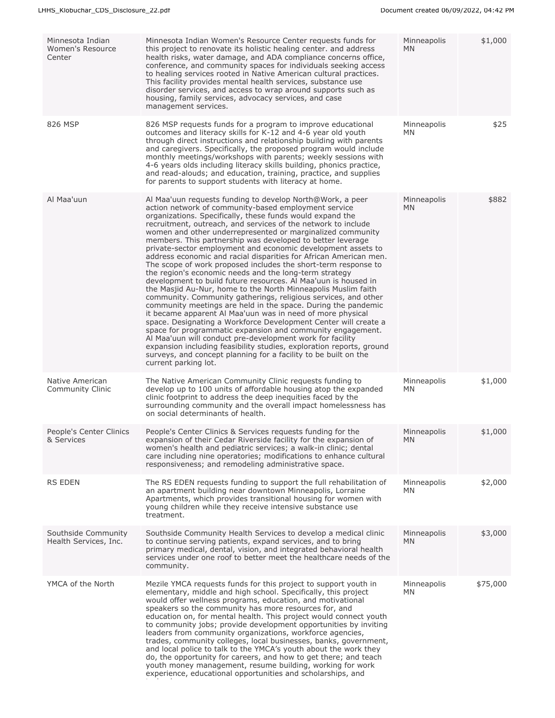| Minnesota Indian<br>Women's Resource<br>Center | Minnesota Indian Women's Resource Center requests funds for<br>this project to renovate its holistic healing center, and address<br>health risks, water damage, and ADA compliance concerns office,<br>conference, and community spaces for individuals seeking access<br>to healing services rooted in Native American cultural practices.<br>This facility provides mental health services, substance use<br>disorder services, and access to wrap around supports such as<br>housing, family services, advocacy services, and case<br>management services.                                                                                                                                                                                                                                                                                                                                                                                                                                                                                                                                                                                                                                                                                                                                                                                     | Minneapolis<br><b>MN</b> | \$1,000  |
|------------------------------------------------|---------------------------------------------------------------------------------------------------------------------------------------------------------------------------------------------------------------------------------------------------------------------------------------------------------------------------------------------------------------------------------------------------------------------------------------------------------------------------------------------------------------------------------------------------------------------------------------------------------------------------------------------------------------------------------------------------------------------------------------------------------------------------------------------------------------------------------------------------------------------------------------------------------------------------------------------------------------------------------------------------------------------------------------------------------------------------------------------------------------------------------------------------------------------------------------------------------------------------------------------------------------------------------------------------------------------------------------------------|--------------------------|----------|
| 826 MSP                                        | 826 MSP requests funds for a program to improve educational<br>outcomes and literacy skills for K-12 and 4-6 year old youth<br>through direct instructions and relationship building with parents<br>and caregivers. Specifically, the proposed program would include<br>monthly meetings/workshops with parents; weekly sessions with<br>4-6 years olds including literacy skills building, phonics practice,<br>and read-alouds; and education, training, practice, and supplies<br>for parents to support students with literacy at home.                                                                                                                                                                                                                                                                                                                                                                                                                                                                                                                                                                                                                                                                                                                                                                                                      | Minneapolis<br><b>MN</b> | \$25     |
| Al Maa'uun                                     | Al Maa'uun requests funding to develop North@Work, a peer<br>action network of community-based employment service<br>organizations. Specifically, these funds would expand the<br>recruitment, outreach, and services of the network to include<br>women and other underrepresented or marginalized community<br>members. This partnership was developed to better leverage<br>private-sector employment and economic development assets to<br>address economic and racial disparities for African American men.<br>The scope of work proposed includes the short-term response to<br>the region's economic needs and the long-term strategy<br>development to build future resources. Al Maa'uun is housed in<br>the Masjid Au-Nur, home to the North Minneapolis Muslim faith<br>community. Community gatherings, religious services, and other<br>community meetings are held in the space. During the pandemic<br>it became apparent Al Maa'uun was in need of more physical<br>space. Designating a Workforce Development Center will create a<br>space for programmatic expansion and community engagement.<br>Al Maa'uun will conduct pre-development work for facility<br>expansion including feasibility studies, exploration reports, ground<br>surveys, and concept planning for a facility to be built on the<br>current parking lot. | Minneapolis<br><b>MN</b> | \$882    |
| Native American<br><b>Community Clinic</b>     | The Native American Community Clinic requests funding to<br>develop up to 100 units of affordable housing atop the expanded<br>clinic footprint to address the deep inequities faced by the<br>surrounding community and the overall impact homelessness has<br>on social determinants of health.                                                                                                                                                                                                                                                                                                                                                                                                                                                                                                                                                                                                                                                                                                                                                                                                                                                                                                                                                                                                                                                 | Minneapolis<br>MN        | \$1,000  |
| People's Center Clinics<br>& Services          | People's Center Clinics & Services requests funding for the<br>expansion of their Cedar Riverside facility for the expansion of<br>women's health and pediatric services; a walk-in clinic; dental<br>care including nine operatories; modifications to enhance cultural<br>responsiveness; and remodeling administrative space.                                                                                                                                                                                                                                                                                                                                                                                                                                                                                                                                                                                                                                                                                                                                                                                                                                                                                                                                                                                                                  | Minneapolis<br>MN        | \$1,000  |
| RS EDEN                                        | The RS EDEN requests funding to support the full rehabilitation of<br>an apartment building near downtown Minneapolis, Lorraine<br>Apartments, which provides transitional housing for women with<br>young children while they receive intensive substance use<br>treatment.                                                                                                                                                                                                                                                                                                                                                                                                                                                                                                                                                                                                                                                                                                                                                                                                                                                                                                                                                                                                                                                                      | Minneapolis<br><b>MN</b> | \$2,000  |
| Southside Community<br>Health Services, Inc.   | Southside Community Health Services to develop a medical clinic<br>to continue serving patients, expand services, and to bring<br>primary medical, dental, vision, and integrated behavioral health<br>services under one roof to better meet the healthcare needs of the<br>community.                                                                                                                                                                                                                                                                                                                                                                                                                                                                                                                                                                                                                                                                                                                                                                                                                                                                                                                                                                                                                                                           | Minneapolis<br><b>MN</b> | \$3,000  |
| YMCA of the North                              | Mezile YMCA requests funds for this project to support youth in<br>elementary, middle and high school. Specifically, this project<br>would offer wellness programs, education, and motivational<br>speakers so the community has more resources for, and<br>education on, for mental health. This project would connect youth<br>to community jobs; provide development opportunities by inviting<br>leaders from community organizations, workforce agencies,<br>trades, community colleges, local businesses, banks, government,<br>and local police to talk to the YMCA's youth about the work they<br>do, the opportunity for careers, and how to get there; and teach<br>youth money management, resume building, working for work<br>experience, educational opportunities and scholarships, and                                                                                                                                                                                                                                                                                                                                                                                                                                                                                                                                            | Minneapolis<br>MN        | \$75,000 |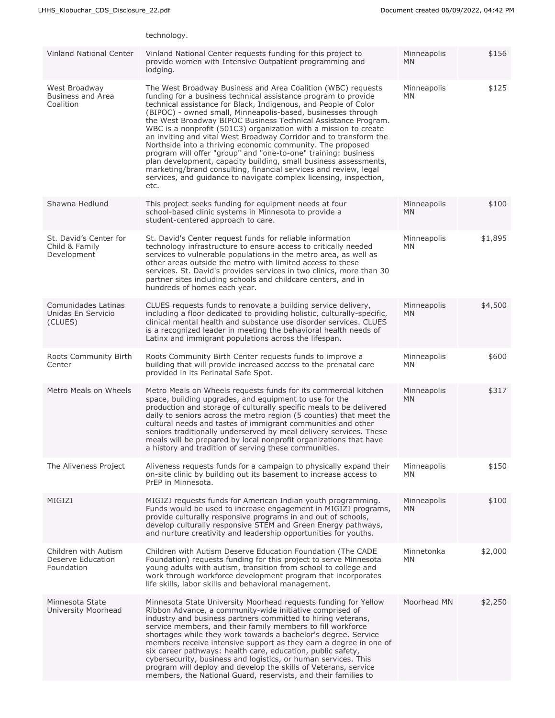|                                                         | technology.                                                                                                                                                                                                                                                                                                                                                                                                                                                                                                                                                                                                                                                                                                                                                                                                                       |                          |         |
|---------------------------------------------------------|-----------------------------------------------------------------------------------------------------------------------------------------------------------------------------------------------------------------------------------------------------------------------------------------------------------------------------------------------------------------------------------------------------------------------------------------------------------------------------------------------------------------------------------------------------------------------------------------------------------------------------------------------------------------------------------------------------------------------------------------------------------------------------------------------------------------------------------|--------------------------|---------|
| <b>Vinland National Center</b>                          | Vinland National Center requests funding for this project to<br>provide women with Intensive Outpatient programming and<br>lodging.                                                                                                                                                                                                                                                                                                                                                                                                                                                                                                                                                                                                                                                                                               | Minneapolis<br><b>MN</b> | \$156   |
| West Broadway<br>Business and Area<br>Coalition         | The West Broadway Business and Area Coalition (WBC) requests<br>funding for a business technical assistance program to provide<br>technical assistance for Black, Indigenous, and People of Color<br>(BIPOC) - owned small, Minneapolis-based, businesses through<br>the West Broadway BIPOC Business Technical Assistance Program.<br>WBC is a nonprofit (501C3) organization with a mission to create<br>an inviting and vital West Broadway Corridor and to transform the<br>Northside into a thriving economic community. The proposed<br>program will offer "group" and "one-to-one" training: business<br>plan development, capacity building, small business assessments,<br>marketing/brand consulting, financial services and review, legal<br>services, and guidance to navigate complex licensing, inspection,<br>etc. | Minneapolis<br><b>MN</b> | \$125   |
| Shawna Hedlund                                          | This project seeks funding for equipment needs at four<br>school-based clinic systems in Minnesota to provide a<br>student-centered approach to care.                                                                                                                                                                                                                                                                                                                                                                                                                                                                                                                                                                                                                                                                             | Minneapolis<br>MN.       | \$100   |
| St. David's Center for<br>Child & Family<br>Development | St. David's Center request funds for reliable information<br>technology infrastructure to ensure access to critically needed<br>services to vulnerable populations in the metro area, as well as<br>other areas outside the metro with limited access to these<br>services. St. David's provides services in two clinics, more than 30<br>partner sites including schools and childcare centers, and in<br>hundreds of homes each year.                                                                                                                                                                                                                                                                                                                                                                                           | Minneapolis<br>MN        | \$1,895 |
| Comunidades Latinas<br>Unidas En Servicio<br>(CLUES)    | CLUES requests funds to renovate a building service delivery,<br>including a floor dedicated to providing holistic, culturally-specific,<br>clinical mental health and substance use disorder services. CLUES<br>is a recognized leader in meeting the behavioral health needs of<br>Latinx and immigrant populations across the lifespan.                                                                                                                                                                                                                                                                                                                                                                                                                                                                                        | Minneapolis<br><b>MN</b> | \$4,500 |
| Roots Community Birth<br>Center                         | Roots Community Birth Center requests funds to improve a<br>building that will provide increased access to the prenatal care<br>provided in its Perinatal Safe Spot.                                                                                                                                                                                                                                                                                                                                                                                                                                                                                                                                                                                                                                                              | Minneapolis<br>MN        | \$600   |
| Metro Meals on Wheels                                   | Metro Meals on Wheels requests funds for its commercial kitchen<br>space, building upgrades, and equipment to use for the<br>production and storage of culturally specific meals to be delivered<br>daily to seniors across the metro region (5 counties) that meet the<br>cultural needs and tastes of immigrant communities and other<br>seniors traditionally underserved by meal delivery services. These<br>meals will be prepared by local nonprofit organizations that have<br>a history and tradition of serving these communities.                                                                                                                                                                                                                                                                                       | Minneapolis<br><b>MN</b> | \$317   |
| The Aliveness Project                                   | Aliveness requests funds for a campaign to physically expand their<br>on-site clinic by building out its basement to increase access to<br>PrEP in Minnesota.                                                                                                                                                                                                                                                                                                                                                                                                                                                                                                                                                                                                                                                                     | Minneapolis<br>MN.       | \$150   |
| MIGIZI                                                  | MIGIZI requests funds for American Indian youth programming.<br>Funds would be used to increase engagement in MIGIZI programs,<br>provide culturally responsive programs in and out of schools,<br>develop culturally responsive STEM and Green Energy pathways,<br>and nurture creativity and leadership opportunities for youths.                                                                                                                                                                                                                                                                                                                                                                                                                                                                                               | Minneapolis<br><b>MN</b> | \$100   |
| Children with Autism<br>Deserve Education<br>Foundation | Children with Autism Deserve Education Foundation (The CADE<br>Foundation) requests funding for this project to serve Minnesota<br>young adults with autism, transition from school to college and<br>work through workforce development program that incorporates<br>life skills, labor skills and behavioral management.                                                                                                                                                                                                                                                                                                                                                                                                                                                                                                        | Minnetonka<br><b>MN</b>  | \$2,000 |
| Minnesota State<br>University Moorhead                  | Minnesota State University Moorhead requests funding for Yellow<br>Ribbon Advance, a community-wide initiative comprised of<br>industry and business partners committed to hiring veterans,<br>service members, and their family members to fill workforce<br>shortages while they work towards a bachelor's degree. Service<br>members receive intensive support as they earn a degree in one of<br>six career pathways: health care, education, public safety,<br>cybersecurity, business and logistics, or human services. This<br>program will deploy and develop the skills of Veterans, service<br>members, the National Guard, reservists, and their families to                                                                                                                                                           | Moorhead MN              | \$2,250 |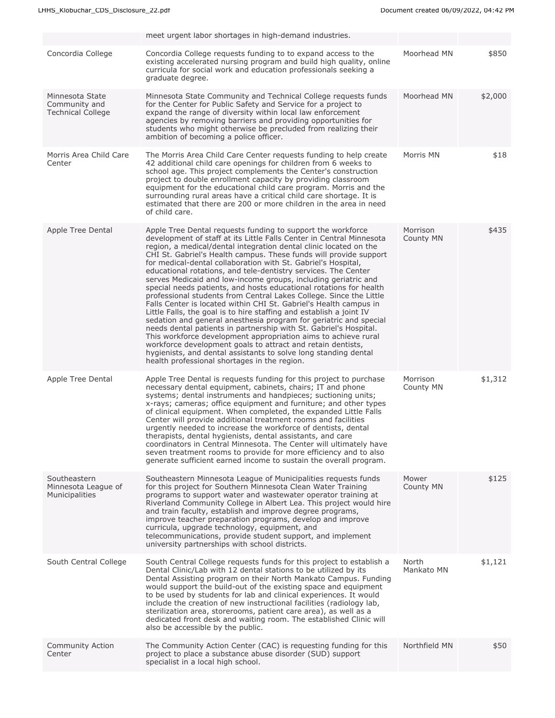|                                                              | meet urgent labor shortages in high-demand industries.                                                                                                                                                                                                                                                                                                                                                                                                                                                                                                                                                                                                                                                                                                                                                                                                                                                                                                                                                                                                                                                                                                                   |                       |         |
|--------------------------------------------------------------|--------------------------------------------------------------------------------------------------------------------------------------------------------------------------------------------------------------------------------------------------------------------------------------------------------------------------------------------------------------------------------------------------------------------------------------------------------------------------------------------------------------------------------------------------------------------------------------------------------------------------------------------------------------------------------------------------------------------------------------------------------------------------------------------------------------------------------------------------------------------------------------------------------------------------------------------------------------------------------------------------------------------------------------------------------------------------------------------------------------------------------------------------------------------------|-----------------------|---------|
| Concordia College                                            | Concordia College requests funding to to expand access to the<br>existing accelerated nursing program and build high quality, online<br>curricula for social work and education professionals seeking a<br>graduate degree.                                                                                                                                                                                                                                                                                                                                                                                                                                                                                                                                                                                                                                                                                                                                                                                                                                                                                                                                              | Moorhead MN           | \$850   |
| Minnesota State<br>Community and<br><b>Technical College</b> | Minnesota State Community and Technical College requests funds<br>for the Center for Public Safety and Service for a project to<br>expand the range of diversity within local law enforcement<br>agencies by removing barriers and providing opportunities for<br>students who might otherwise be precluded from realizing their<br>ambition of becoming a police officer.                                                                                                                                                                                                                                                                                                                                                                                                                                                                                                                                                                                                                                                                                                                                                                                               | Moorhead MN           | \$2,000 |
| Morris Area Child Care<br>Center                             | The Morris Area Child Care Center requests funding to help create<br>42 additional child care openings for children from 6 weeks to<br>school age. This project complements the Center's construction<br>project to double enrollment capacity by providing classroom<br>equipment for the educational child care program. Morris and the<br>surrounding rural areas have a critical child care shortage. It is<br>estimated that there are 200 or more children in the area in need<br>of child care.                                                                                                                                                                                                                                                                                                                                                                                                                                                                                                                                                                                                                                                                   | Morris MN             | \$18    |
| Apple Tree Dental                                            | Apple Tree Dental requests funding to support the workforce<br>development of staff at its Little Falls Center in Central Minnesota<br>region, a medical/dental integration dental clinic located on the<br>CHI St. Gabriel's Health campus. These funds will provide support<br>for medical-dental collaboration with St. Gabriel's Hospital,<br>educational rotations, and tele-dentistry services. The Center<br>serves Medicaid and low-income groups, including geriatric and<br>special needs patients, and hosts educational rotations for health<br>professional students from Central Lakes College. Since the Little<br>Falls Center is located within CHI St. Gabriel's Health campus in<br>Little Falls, the goal is to hire staffing and establish a joint IV<br>sedation and general anesthesia program for geriatric and special<br>needs dental patients in partnership with St. Gabriel's Hospital.<br>This workforce development appropriation aims to achieve rural<br>workforce development goals to attract and retain dentists,<br>hygienists, and dental assistants to solve long standing dental<br>health professional shortages in the region. | Morrison<br>County MN | \$435   |
| Apple Tree Dental                                            | Apple Tree Dental is requests funding for this project to purchase<br>necessary dental equipment, cabinets, chairs; IT and phone<br>systems; dental instruments and handpieces; suctioning units;<br>x-rays; cameras; office equipment and furniture; and other types<br>of clinical equipment. When completed, the expanded Little Falls<br>Center will provide additional treatment rooms and facilities<br>urgently needed to increase the workforce of dentists, dental<br>therapists, dental hygienists, dental assistants, and care<br>coordinators in Central Minnesota. The Center will ultimately have<br>seven treatment rooms to provide for more efficiency and to also<br>generate sufficient earned income to sustain the overall program.                                                                                                                                                                                                                                                                                                                                                                                                                 | Morrison<br>County MN | \$1,312 |
| Southeastern<br>Minnesota League of<br>Municipalities        | Southeastern Minnesota League of Municipalities requests funds<br>for this project for Southern Minnesota Clean Water Training<br>programs to support water and wastewater operator training at<br>Riverland Community College in Albert Lea. This project would hire<br>and train faculty, establish and improve degree programs,<br>improve teacher preparation programs, develop and improve<br>curricula, upgrade technology, equipment, and<br>telecommunications, provide student support, and implement<br>university partnerships with school districts.                                                                                                                                                                                                                                                                                                                                                                                                                                                                                                                                                                                                         | Mower<br>County MN    | \$125   |
| South Central College                                        | South Central College requests funds for this project to establish a<br>Dental Clinic/Lab with 12 dental stations to be utilized by its<br>Dental Assisting program on their North Mankato Campus. Funding<br>would support the build-out of the existing space and equipment<br>to be used by students for lab and clinical experiences. It would<br>include the creation of new instructional facilities (radiology lab,<br>sterilization area, storerooms, patient care area), as well as a<br>dedicated front desk and waiting room. The established Clinic will<br>also be accessible by the public.                                                                                                                                                                                                                                                                                                                                                                                                                                                                                                                                                                | North<br>Mankato MN   | \$1,121 |
| Community Action<br>Center                                   | The Community Action Center (CAC) is requesting funding for this<br>project to place a substance abuse disorder (SUD) support<br>specialist in a local high school.                                                                                                                                                                                                                                                                                                                                                                                                                                                                                                                                                                                                                                                                                                                                                                                                                                                                                                                                                                                                      | Northfield MN         | \$50    |
|                                                              |                                                                                                                                                                                                                                                                                                                                                                                                                                                                                                                                                                                                                                                                                                                                                                                                                                                                                                                                                                                                                                                                                                                                                                          |                       |         |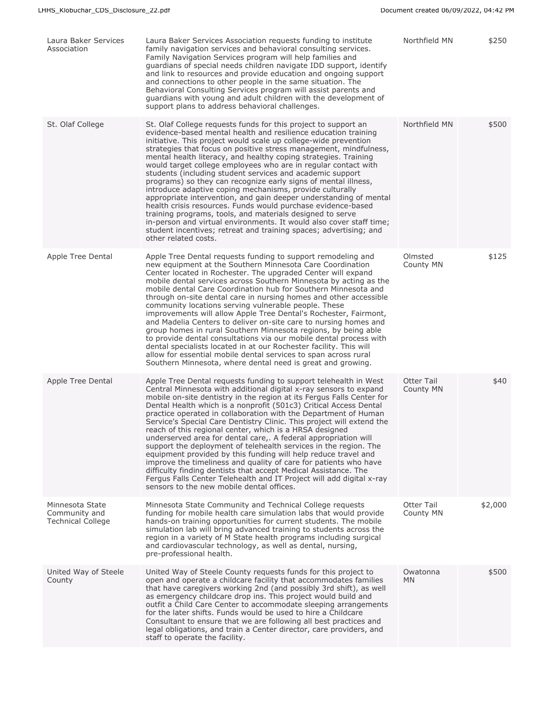| Laura Baker Services<br>Association                          | Laura Baker Services Association requests funding to institute<br>family navigation services and behavioral consulting services.<br>Family Navigation Services program will help families and<br>guardians of special needs children navigate IDD support, identify<br>and link to resources and provide education and ongoing support<br>and connections to other people in the same situation. The<br>Behavioral Consulting Services program will assist parents and<br>guardians with young and adult children with the development of<br>support plans to address behavioral challenges.                                                                                                                                                                                                                                                                                                                                                                                   | Northfield MN                  | \$250   |
|--------------------------------------------------------------|--------------------------------------------------------------------------------------------------------------------------------------------------------------------------------------------------------------------------------------------------------------------------------------------------------------------------------------------------------------------------------------------------------------------------------------------------------------------------------------------------------------------------------------------------------------------------------------------------------------------------------------------------------------------------------------------------------------------------------------------------------------------------------------------------------------------------------------------------------------------------------------------------------------------------------------------------------------------------------|--------------------------------|---------|
| St. Olaf College                                             | St. Olaf College requests funds for this project to support an<br>evidence-based mental health and resilience education training<br>initiative. This project would scale up college-wide prevention<br>strategies that focus on positive stress management, mindfulness,<br>mental health literacy, and healthy coping strategies. Training<br>would target college employees who are in regular contact with<br>students (including student services and academic support<br>programs) so they can recognize early signs of mental illness,<br>introduce adaptive coping mechanisms, provide culturally<br>appropriate intervention, and gain deeper understanding of mental<br>health crisis resources. Funds would purchase evidence-based<br>training programs, tools, and materials designed to serve<br>in-person and virtual environments. It would also cover staff time;<br>student incentives; retreat and training spaces; advertising; and<br>other related costs. | Northfield MN                  | \$500   |
| Apple Tree Dental                                            | Apple Tree Dental requests funding to support remodeling and<br>new equipment at the Southern Minnesota Care Coordination<br>Center located in Rochester. The upgraded Center will expand<br>mobile dental services across Southern Minnesota by acting as the<br>mobile dental Care Coordination hub for Southern Minnesota and<br>through on-site dental care in nursing homes and other accessible<br>community locations serving vulnerable people. These<br>improvements will allow Apple Tree Dental's Rochester, Fairmont,<br>and Madelia Centers to deliver on-site care to nursing homes and<br>group homes in rural Southern Minnesota regions, by being able<br>to provide dental consultations via our mobile dental process with<br>dental specialists located in at our Rochester facility. This will<br>allow for essential mobile dental services to span across rural<br>Southern Minnesota, where dental need is great and growing.                          | Olmsted<br>County MN           | \$125   |
| Apple Tree Dental                                            | Apple Tree Dental requests funding to support telehealth in West<br>Central Minnesota with additional digital x-ray sensors to expand<br>mobile on-site dentistry in the region at its Fergus Falls Center for<br>Dental Health which is a nonprofit (501c3) Critical Access Dental<br>practice operated in collaboration with the Department of Human<br>Service's Special Care Dentistry Clinic. This project will extend the<br>reach of this regional center, which is a HRSA designed<br>underserved area for dental care,. A federal appropriation will<br>support the deployment of telehealth services in the region. The<br>equipment provided by this funding will help reduce travel and<br>improve the timeliness and quality of care for patients who have<br>difficulty finding dentists that accept Medical Assistance. The<br>Fergus Falls Center Telehealth and IT Project will add digital x-ray<br>sensors to the new mobile dental offices.                | <b>Otter Tail</b><br>County MN | \$40    |
| Minnesota State<br>Community and<br><b>Technical College</b> | Minnesota State Community and Technical College requests<br>funding for mobile health care simulation labs that would provide<br>hands-on training opportunities for current students. The mobile<br>simulation lab will bring advanced training to students across the<br>region in a variety of M State health programs including surgical<br>and cardiovascular technology, as well as dental, nursing,<br>pre-professional health.                                                                                                                                                                                                                                                                                                                                                                                                                                                                                                                                         | Otter Tail<br>County MN        | \$2,000 |
| United Way of Steele<br>County                               | United Way of Steele County requests funds for this project to<br>open and operate a childcare facility that accommodates families<br>that have caregivers working 2nd (and possibly 3rd shift), as well<br>as emergency childcare drop ins. This project would build and<br>outfit a Child Care Center to accommodate sleeping arrangements<br>for the later shifts. Funds would be used to hire a Childcare<br>Consultant to ensure that we are following all best practices and<br>legal obligations, and train a Center director, care providers, and<br>staff to operate the facility.                                                                                                                                                                                                                                                                                                                                                                                    | Owatonna<br><b>MN</b>          | \$500   |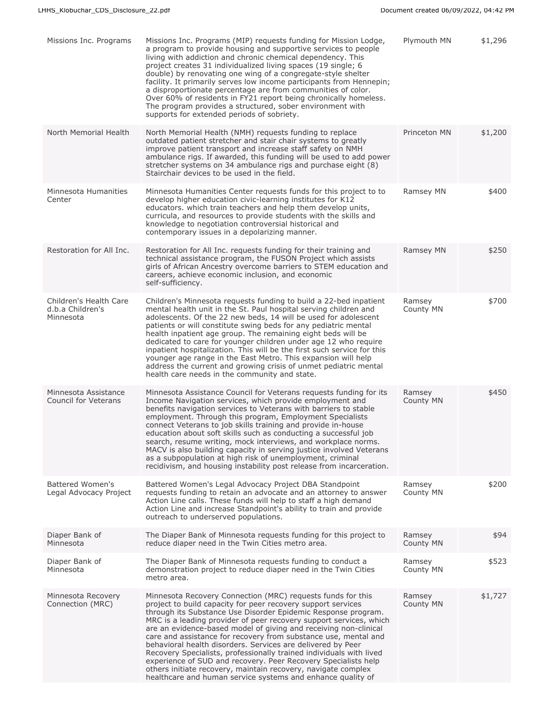| Missions Inc. Programs                                  | Missions Inc. Programs (MIP) requests funding for Mission Lodge,<br>a program to provide housing and supportive services to people<br>living with addiction and chronic chemical dependency. This<br>project creates 31 individualized living spaces (19 single; 6<br>double) by renovating one wing of a congregate-style shelter<br>facility. It primarily serves low income participants from Hennepin;<br>a disproportionate percentage are from communities of color.<br>Over 60% of residents in FY21 report being chronically homeless.<br>The program provides a structured, sober environment with<br>supports for extended periods of sobriety.                                                                                         | Plymouth MN         | \$1,296 |
|---------------------------------------------------------|---------------------------------------------------------------------------------------------------------------------------------------------------------------------------------------------------------------------------------------------------------------------------------------------------------------------------------------------------------------------------------------------------------------------------------------------------------------------------------------------------------------------------------------------------------------------------------------------------------------------------------------------------------------------------------------------------------------------------------------------------|---------------------|---------|
| North Memorial Health                                   | North Memorial Health (NMH) requests funding to replace<br>outdated patient stretcher and stair chair systems to greatly<br>improve patient transport and increase staff safety on NMH<br>ambulance rigs. If awarded, this funding will be used to add power<br>stretcher systems on 34 ambulance rigs and purchase eight (8)<br>Stairchair devices to be used in the field.                                                                                                                                                                                                                                                                                                                                                                      | Princeton MN        | \$1,200 |
| Minnesota Humanities<br>Center                          | Minnesota Humanities Center requests funds for this project to to<br>develop higher education civic-learning institutes for K12<br>educators. which train teachers and help them develop units,<br>curricula, and resources to provide students with the skills and<br>knowledge to negotiation controversial historical and<br>contemporary issues in a depolarizing manner.                                                                                                                                                                                                                                                                                                                                                                     | Ramsey MN           | \$400   |
| Restoration for All Inc.                                | Restoration for All Inc. requests funding for their training and<br>technical assistance program, the FUSON Project which assists<br>girls of African Ancestry overcome barriers to STEM education and<br>careers, achieve economic inclusion, and economic<br>self-sufficiency.                                                                                                                                                                                                                                                                                                                                                                                                                                                                  | Ramsey MN           | \$250   |
| Children's Health Care<br>d.b.a Children's<br>Minnesota | Children's Minnesota requests funding to build a 22-bed inpatient<br>mental health unit in the St. Paul hospital serving children and<br>adolescents. Of the 22 new beds, 14 will be used for adolescent<br>patients or will constitute swing beds for any pediatric mental<br>health inpatient age group. The remaining eight beds will be<br>dedicated to care for younger children under age 12 who require<br>inpatient hospitalization. This will be the first such service for this<br>younger age range in the East Metro. This expansion will help<br>address the current and growing crisis of unmet pediatric mental<br>health care needs in the community and state.                                                                   | Ramsey<br>County MN | \$700   |
| Minnesota Assistance<br><b>Council for Veterans</b>     | Minnesota Assistance Council for Veterans requests funding for its<br>Income Navigation services, which provide employment and<br>benefits navigation services to Veterans with barriers to stable<br>employment. Through this program, Employment Specialists<br>connect Veterans to job skills training and provide in-house<br>education about soft skills such as conducting a successful job<br>search, resume writing, mock interviews, and workplace norms.<br>MACV is also building capacity in serving justice involved Veterans<br>as a subpopulation at high risk of unemployment, criminal<br>recidivism, and housing instability post release from incarceration.                                                                    | Ramsey<br>County MN | \$450   |
| Battered Women's<br>Legal Advocacy Project              | Battered Women's Legal Advocacy Project DBA Standpoint<br>requests funding to retain an advocate and an attorney to answer<br>Action Line calls. These funds will help to staff a high demand<br>Action Line and increase Standpoint's ability to train and provide<br>outreach to underserved populations.                                                                                                                                                                                                                                                                                                                                                                                                                                       | Ramsey<br>County MN | \$200   |
| Diaper Bank of<br>Minnesota                             | The Diaper Bank of Minnesota requests funding for this project to<br>reduce diaper need in the Twin Cities metro area.                                                                                                                                                                                                                                                                                                                                                                                                                                                                                                                                                                                                                            | Ramsey<br>County MN | \$94    |
| Diaper Bank of<br>Minnesota                             | The Diaper Bank of Minnesota requests funding to conduct a<br>demonstration project to reduce diaper need in the Twin Cities<br>metro area.                                                                                                                                                                                                                                                                                                                                                                                                                                                                                                                                                                                                       | Ramsey<br>County MN | \$523   |
| Minnesota Recovery<br>Connection (MRC)                  | Minnesota Recovery Connection (MRC) requests funds for this<br>project to build capacity for peer recovery support services<br>through its Substance Use Disorder Epidemic Response program.<br>MRC is a leading provider of peer recovery support services, which<br>are an evidence-based model of giving and receiving non-clinical<br>care and assistance for recovery from substance use, mental and<br>behavioral health disorders. Services are delivered by Peer<br>Recovery Specialists, professionally trained individuals with lived<br>experience of SUD and recovery. Peer Recovery Specialists help<br>others initiate recovery, maintain recovery, navigate complex<br>healthcare and human service systems and enhance quality of | Ramsey<br>County MN | \$1,727 |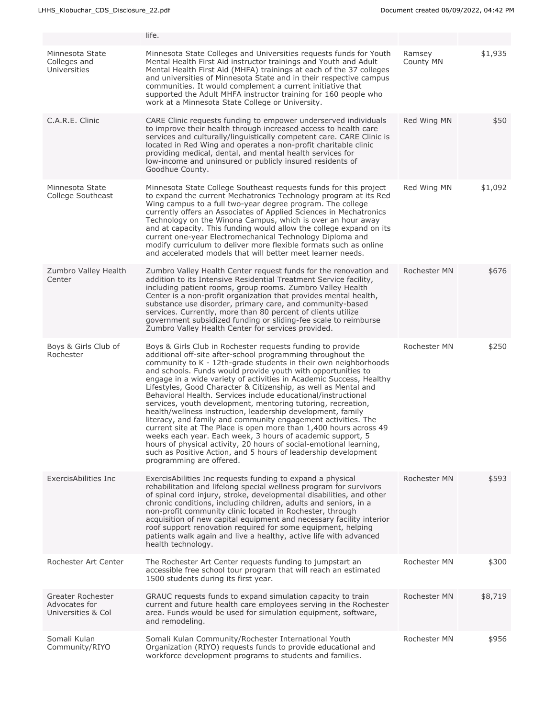|                                                          | life.                                                                                                                                                                                                                                                                                                                                                                                                                                                                                                                                                                                                                                                                                                                                                                                                                                                                                                                                                                          |                     |         |
|----------------------------------------------------------|--------------------------------------------------------------------------------------------------------------------------------------------------------------------------------------------------------------------------------------------------------------------------------------------------------------------------------------------------------------------------------------------------------------------------------------------------------------------------------------------------------------------------------------------------------------------------------------------------------------------------------------------------------------------------------------------------------------------------------------------------------------------------------------------------------------------------------------------------------------------------------------------------------------------------------------------------------------------------------|---------------------|---------|
| Minnesota State<br>Colleges and<br>Universities          | Minnesota State Colleges and Universities requests funds for Youth<br>Mental Health First Aid instructor trainings and Youth and Adult<br>Mental Health First Aid (MHFA) trainings at each of the 37 colleges<br>and universities of Minnesota State and in their respective campus<br>communities. It would complement a current initiative that<br>supported the Adult MHFA instructor training for 160 people who<br>work at a Minnesota State College or University.                                                                                                                                                                                                                                                                                                                                                                                                                                                                                                       | Ramsey<br>County MN | \$1,935 |
| C.A.R.E. Clinic                                          | CARE Clinic requests funding to empower underserved individuals<br>to improve their health through increased access to health care<br>services and culturally/linguistically competent care. CARE Clinic is<br>located in Red Wing and operates a non-profit charitable clinic<br>providing medical, dental, and mental health services for<br>low-income and uninsured or publicly insured residents of<br>Goodhue County.                                                                                                                                                                                                                                                                                                                                                                                                                                                                                                                                                    | Red Wing MN         | \$50    |
| Minnesota State<br>College Southeast                     | Minnesota State College Southeast requests funds for this project<br>to expand the current Mechatronics Technology program at its Red<br>Wing campus to a full two-year degree program. The college<br>currently offers an Associates of Applied Sciences in Mechatronics<br>Technology on the Winona Campus, which is over an hour away<br>and at capacity. This funding would allow the college expand on its<br>current one-year Electromechanical Technology Diploma and<br>modify curriculum to deliver more flexible formats such as online<br>and accelerated models that will better meet learner needs.                                                                                                                                                                                                                                                                                                                                                               | Red Wing MN         | \$1,092 |
| Zumbro Valley Health<br>Center                           | Zumbro Valley Health Center request funds for the renovation and<br>addition to its Intensive Residential Treatment Service facility,<br>including patient rooms, group rooms. Zumbro Valley Health<br>Center is a non-profit organization that provides mental health,<br>substance use disorder, primary care, and community-based<br>services. Currently, more than 80 percent of clients utilize<br>government subsidized funding or sliding-fee scale to reimburse<br>Zumbro Valley Health Center for services provided.                                                                                                                                                                                                                                                                                                                                                                                                                                                  | <b>Rochester MN</b> | \$676   |
| Boys & Girls Club of<br>Rochester                        | Boys & Girls Club in Rochester requests funding to provide<br>additional off-site after-school programming throughout the<br>community to K - 12th-grade students in their own neighborhoods<br>and schools. Funds would provide youth with opportunities to<br>engage in a wide variety of activities in Academic Success, Healthy<br>Lifestyles, Good Character & Citizenship, as well as Mental and<br>Behavioral Health. Services include educational/instructional<br>services, youth development, mentoring tutoring, recreation,<br>health/wellness instruction, leadership development, family<br>literacy, and family and community engagement activities. The<br>current site at The Place is open more than 1,400 hours across 49<br>weeks each year. Each week, 3 hours of academic support, 5<br>hours of physical activity, 20 hours of social-emotional learning,<br>such as Positive Action, and 5 hours of leadership development<br>programming are offered. | Rochester MN        | \$250   |
| ExercisAbilities Inc                                     | ExercisAbilities Inc requests funding to expand a physical<br>rehabilitation and lifelong special wellness program for survivors<br>of spinal cord injury, stroke, developmental disabilities, and other<br>chronic conditions, including children, adults and seniors, in a<br>non-profit community clinic located in Rochester, through<br>acquisition of new capital equipment and necessary facility interior<br>roof support renovation required for some equipment, helping<br>patients walk again and live a healthy, active life with advanced<br>health technology.                                                                                                                                                                                                                                                                                                                                                                                                   | Rochester MN        | \$593   |
| Rochester Art Center                                     | The Rochester Art Center requests funding to jumpstart an<br>accessible free school tour program that will reach an estimated<br>1500 students during its first year.                                                                                                                                                                                                                                                                                                                                                                                                                                                                                                                                                                                                                                                                                                                                                                                                          | Rochester MN        | \$300   |
| Greater Rochester<br>Advocates for<br>Universities & Col | GRAUC requests funds to expand simulation capacity to train<br>current and future health care employees serving in the Rochester<br>area. Funds would be used for simulation equipment, software,<br>and remodeling.                                                                                                                                                                                                                                                                                                                                                                                                                                                                                                                                                                                                                                                                                                                                                           | Rochester MN        | \$8,719 |
| Somali Kulan<br>Community/RIYO                           | Somali Kulan Community/Rochester International Youth<br>Organization (RIYO) requests funds to provide educational and<br>workforce development programs to students and families.                                                                                                                                                                                                                                                                                                                                                                                                                                                                                                                                                                                                                                                                                                                                                                                              | Rochester MN        | \$956   |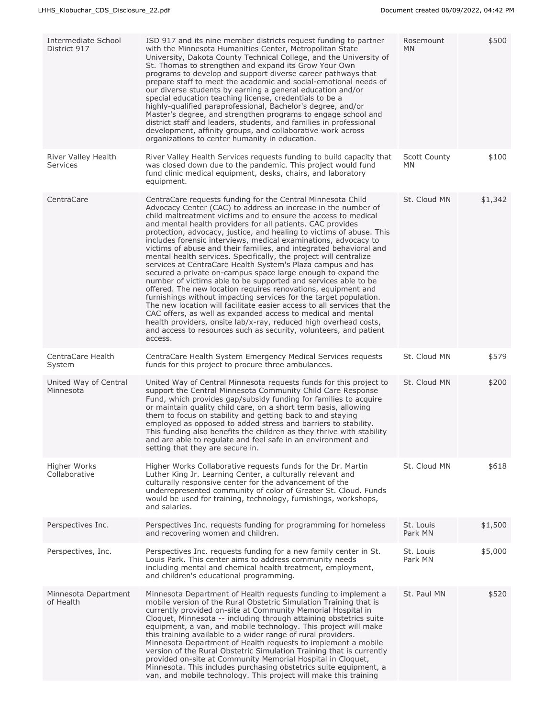| Intermediate School<br>District 917    | ISD 917 and its nine member districts request funding to partner<br>with the Minnesota Humanities Center, Metropolitan State<br>University, Dakota County Technical College, and the University of<br>St. Thomas to strengthen and expand its Grow Your Own<br>programs to develop and support diverse career pathways that<br>prepare staff to meet the academic and social-emotional needs of<br>our diverse students by earning a general education and/or<br>special education teaching license, credentials to be a<br>highly-qualified paraprofessional, Bachelor's degree, and/or<br>Master's degree, and strengthen programs to engage school and<br>district staff and leaders, students, and families in professional<br>development, affinity groups, and collaborative work across<br>organizations to center humanity in education.                                                                                                                                                                                                                                                                                                                                         | Rosemount<br>MN           | \$500   |
|----------------------------------------|------------------------------------------------------------------------------------------------------------------------------------------------------------------------------------------------------------------------------------------------------------------------------------------------------------------------------------------------------------------------------------------------------------------------------------------------------------------------------------------------------------------------------------------------------------------------------------------------------------------------------------------------------------------------------------------------------------------------------------------------------------------------------------------------------------------------------------------------------------------------------------------------------------------------------------------------------------------------------------------------------------------------------------------------------------------------------------------------------------------------------------------------------------------------------------------|---------------------------|---------|
| River Valley Health<br><b>Services</b> | River Valley Health Services requests funding to build capacity that<br>was closed down due to the pandemic. This project would fund<br>fund clinic medical equipment, desks, chairs, and laboratory<br>equipment.                                                                                                                                                                                                                                                                                                                                                                                                                                                                                                                                                                                                                                                                                                                                                                                                                                                                                                                                                                       | <b>Scott County</b><br>MN | \$100   |
| CentraCare                             | CentraCare requests funding for the Central Minnesota Child<br>Advocacy Center (CAC) to address an increase in the number of<br>child maltreatment victims and to ensure the access to medical<br>and mental health providers for all patients. CAC provides<br>protection, advocacy, justice, and healing to victims of abuse. This<br>includes forensic interviews, medical examinations, advocacy to<br>victims of abuse and their families, and integrated behavioral and<br>mental health services. Specifically, the project will centralize<br>services at CentraCare Health System's Plaza campus and has<br>secured a private on-campus space large enough to expand the<br>number of victims able to be supported and services able to be<br>offered. The new location requires renovations, equipment and<br>furnishings without impacting services for the target population.<br>The new location will facilitate easier access to all services that the<br>CAC offers, as well as expanded access to medical and mental<br>health providers, onsite lab/x-ray, reduced high overhead costs,<br>and access to resources such as security, volunteers, and patient<br>access. | St. Cloud MN              | \$1,342 |
| CentraCare Health<br>System            | CentraCare Health System Emergency Medical Services requests<br>funds for this project to procure three ambulances.                                                                                                                                                                                                                                                                                                                                                                                                                                                                                                                                                                                                                                                                                                                                                                                                                                                                                                                                                                                                                                                                      | St. Cloud MN              | \$579   |
| United Way of Central<br>Minnesota     | United Way of Central Minnesota requests funds for this project to<br>support the Central Minnesota Community Child Care Response<br>Fund, which provides gap/subsidy funding for families to acquire<br>or maintain quality child care, on a short term basis, allowing<br>them to focus on stability and getting back to and staying<br>employed as opposed to added stress and barriers to stability.<br>This funding also benefits the children as they thrive with stability<br>and are able to regulate and feel safe in an environment and<br>setting that they are secure in.                                                                                                                                                                                                                                                                                                                                                                                                                                                                                                                                                                                                    | St. Cloud MN              | \$200   |
| Higher Works<br>Collaborative          | Higher Works Collaborative requests funds for the Dr. Martin<br>Luther King Jr. Learning Center, a culturally relevant and<br>culturally responsive center for the advancement of the<br>underrepresented community of color of Greater St. Cloud. Funds<br>would be used for training, technology, furnishings, workshops,<br>and salaries.                                                                                                                                                                                                                                                                                                                                                                                                                                                                                                                                                                                                                                                                                                                                                                                                                                             | St. Cloud MN              | \$618   |
| Perspectives Inc.                      | Perspectives Inc. requests funding for programming for homeless<br>and recovering women and children.                                                                                                                                                                                                                                                                                                                                                                                                                                                                                                                                                                                                                                                                                                                                                                                                                                                                                                                                                                                                                                                                                    | St. Louis<br>Park MN      | \$1,500 |
| Perspectives, Inc.                     | Perspectives Inc. requests funding for a new family center in St.<br>Louis Park. This center aims to address community needs<br>including mental and chemical health treatment, employment,<br>and children's educational programming.                                                                                                                                                                                                                                                                                                                                                                                                                                                                                                                                                                                                                                                                                                                                                                                                                                                                                                                                                   | St. Louis<br>Park MN      | \$5,000 |
| Minnesota Department<br>of Health      | Minnesota Department of Health requests funding to implement a<br>mobile version of the Rural Obstetric Simulation Training that is<br>currently provided on-site at Community Memorial Hospital in<br>Cloquet, Minnesota -- including through attaining obstetrics suite<br>equipment, a van, and mobile technology. This project will make<br>this training available to a wider range of rural providers.<br>Minnesota Department of Health requests to implement a mobile<br>version of the Rural Obstetric Simulation Training that is currently<br>provided on-site at Community Memorial Hospital in Cloquet,<br>Minnesota. This includes purchasing obstetrics suite equipment, a<br>van, and mobile technology. This project will make this training                                                                                                                                                                                                                                                                                                                                                                                                                            | St. Paul MN               | \$520   |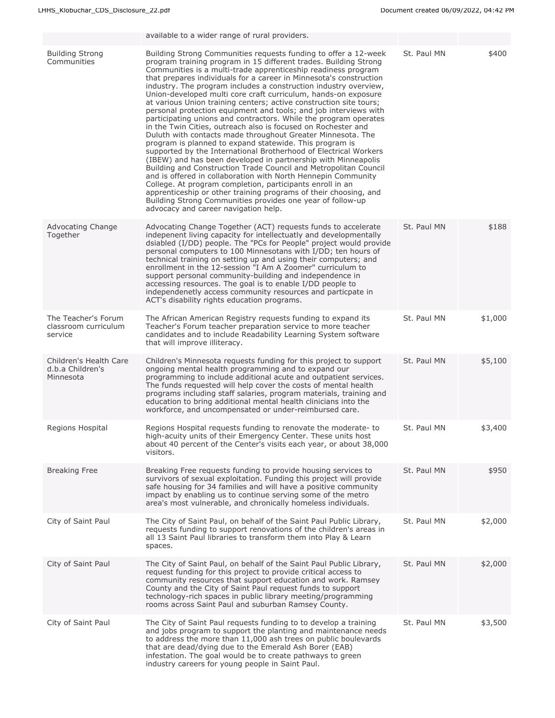|                                                         | available to a wider range of rural providers.                                                                                                                                                                                                                                                                                                                                                                                                                                                                                                                                                                                                                                                                                                                                                                                                                                                                                                                                                                                                                                                                                                                                                                                                                                                                                             |             |         |
|---------------------------------------------------------|--------------------------------------------------------------------------------------------------------------------------------------------------------------------------------------------------------------------------------------------------------------------------------------------------------------------------------------------------------------------------------------------------------------------------------------------------------------------------------------------------------------------------------------------------------------------------------------------------------------------------------------------------------------------------------------------------------------------------------------------------------------------------------------------------------------------------------------------------------------------------------------------------------------------------------------------------------------------------------------------------------------------------------------------------------------------------------------------------------------------------------------------------------------------------------------------------------------------------------------------------------------------------------------------------------------------------------------------|-------------|---------|
| <b>Building Strong</b><br>Communities                   | Building Strong Communities requests funding to offer a 12-week<br>program training program in 15 different trades. Building Strong<br>Communities is a multi-trade apprenticeship readiness program<br>that prepares individuals for a career in Minnesota's construction<br>industry. The program includes a construction industry overview,<br>Union-developed multi core craft curriculum, hands-on exposure<br>at various Union training centers; active construction site tours;<br>personal protection equipment and tools; and job interviews with<br>participating unions and contractors. While the program operates<br>in the Twin Cities, outreach also is focused on Rochester and<br>Duluth with contacts made throughout Greater Minnesota. The<br>program is planned to expand statewide. This program is<br>supported by the International Brotherhood of Electrical Workers<br>(IBEW) and has been developed in partnership with Minneapolis<br>Building and Construction Trade Council and Metropolitan Council<br>and is offered in collaboration with North Hennepin Community<br>College. At program completion, participants enroll in an<br>apprenticeship or other training programs of their choosing, and<br>Building Strong Communities provides one year of follow-up<br>advocacy and career navigation help. | St. Paul MN | \$400   |
| Advocating Change<br>Together                           | Advocating Change Together (ACT) requests funds to accelerate<br>indepenent living capacity for intellectuatly and developmentally<br>dsiabled (I/DD) people. The "PCs for People" project would provide<br>personal computers to 100 Minnesotans with I/DD; ten hours of<br>technical training on setting up and using their computers; and<br>enrollment in the 12-session "I Am A Zoomer" curriculum to<br>support personal community-building and independence in<br>accessing resources. The goal is to enable I/DD people to<br>independenetly access community resources and particpate in<br>ACT's disability rights education programs.                                                                                                                                                                                                                                                                                                                                                                                                                                                                                                                                                                                                                                                                                           | St. Paul MN | \$188   |
| The Teacher's Forum<br>classroom curriculum<br>service  | The African American Registry requests funding to expand its<br>Teacher's Forum teacher preparation service to more teacher<br>candidates and to include Readability Learning System software<br>that will improve illiteracy.                                                                                                                                                                                                                                                                                                                                                                                                                                                                                                                                                                                                                                                                                                                                                                                                                                                                                                                                                                                                                                                                                                             | St. Paul MN | \$1,000 |
| Children's Health Care<br>d.b.a Children's<br>Minnesota | Children's Minnesota requests funding for this project to support<br>ongoing mental health programming and to expand our<br>programming to include additional acute and outpatient services.<br>The funds requested will help cover the costs of mental health<br>programs including staff salaries, program materials, training and<br>education to bring additional mental health clinicians into the<br>workforce, and uncompensated or under-reimbursed care.                                                                                                                                                                                                                                                                                                                                                                                                                                                                                                                                                                                                                                                                                                                                                                                                                                                                          | St. Paul MN | \$5,100 |
| Regions Hospital                                        | Regions Hospital requests funding to renovate the moderate- to<br>high-acuity units of their Emergency Center. These units host<br>about 40 percent of the Center's visits each year, or about 38,000<br>visitors.                                                                                                                                                                                                                                                                                                                                                                                                                                                                                                                                                                                                                                                                                                                                                                                                                                                                                                                                                                                                                                                                                                                         | St. Paul MN | \$3,400 |
| <b>Breaking Free</b>                                    | Breaking Free requests funding to provide housing services to<br>survivors of sexual exploitation. Funding this project will provide<br>safe housing for 34 families and will have a positive community<br>impact by enabling us to continue serving some of the metro<br>area's most vulnerable, and chronically homeless individuals.                                                                                                                                                                                                                                                                                                                                                                                                                                                                                                                                                                                                                                                                                                                                                                                                                                                                                                                                                                                                    | St. Paul MN | \$950   |
| City of Saint Paul                                      | The City of Saint Paul, on behalf of the Saint Paul Public Library,<br>requests funding to support renovations of the children's areas in<br>all 13 Saint Paul libraries to transform them into Play & Learn<br>spaces.                                                                                                                                                                                                                                                                                                                                                                                                                                                                                                                                                                                                                                                                                                                                                                                                                                                                                                                                                                                                                                                                                                                    | St. Paul MN | \$2,000 |
| City of Saint Paul                                      | The City of Saint Paul, on behalf of the Saint Paul Public Library,<br>request funding for this project to provide critical access to<br>community resources that support education and work. Ramsey<br>County and the City of Saint Paul request funds to support<br>technology-rich spaces in public library meeting/programming<br>rooms across Saint Paul and suburban Ramsey County.                                                                                                                                                                                                                                                                                                                                                                                                                                                                                                                                                                                                                                                                                                                                                                                                                                                                                                                                                  | St. Paul MN | \$2,000 |
| City of Saint Paul                                      | The City of Saint Paul requests funding to to develop a training<br>and jobs program to support the planting and maintenance needs<br>to address the more than 11,000 ash trees on public boulevards<br>that are dead/dying due to the Emerald Ash Borer (EAB)<br>infestation. The goal would be to create pathways to green<br>industry careers for young people in Saint Paul.                                                                                                                                                                                                                                                                                                                                                                                                                                                                                                                                                                                                                                                                                                                                                                                                                                                                                                                                                           | St. Paul MN | \$3,500 |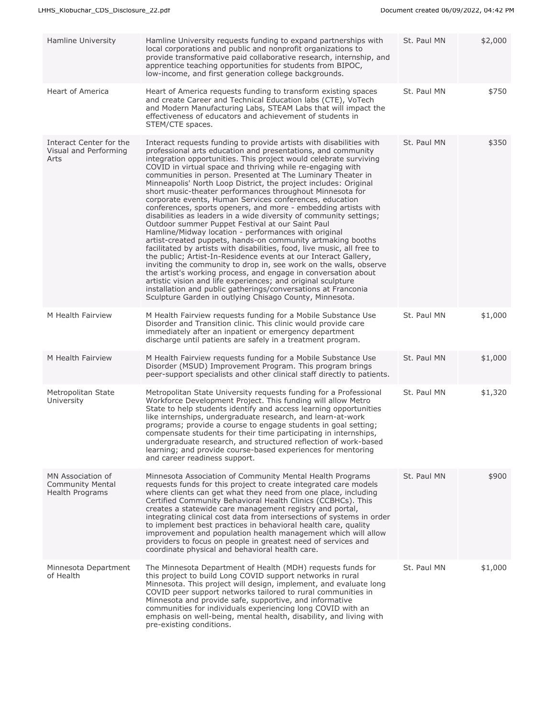| Hamline University                                                     | Hamline University requests funding to expand partnerships with<br>local corporations and public and nonprofit organizations to<br>provide transformative paid collaborative research, internship, and<br>apprentice teaching opportunities for students from BIPOC,<br>low-income, and first generation college backgrounds.                                                                                                                                                                                                                                                                                                                                                                                                                                                                                                                                                                                                                                                                                                                                                                                                                                                                                                                                                                                                         | St. Paul MN | \$2,000 |
|------------------------------------------------------------------------|---------------------------------------------------------------------------------------------------------------------------------------------------------------------------------------------------------------------------------------------------------------------------------------------------------------------------------------------------------------------------------------------------------------------------------------------------------------------------------------------------------------------------------------------------------------------------------------------------------------------------------------------------------------------------------------------------------------------------------------------------------------------------------------------------------------------------------------------------------------------------------------------------------------------------------------------------------------------------------------------------------------------------------------------------------------------------------------------------------------------------------------------------------------------------------------------------------------------------------------------------------------------------------------------------------------------------------------|-------------|---------|
| Heart of America                                                       | Heart of America requests funding to transform existing spaces<br>and create Career and Technical Education labs (CTE), VoTech<br>and Modern Manufacturing Labs, STEAM Labs that will impact the<br>effectiveness of educators and achievement of students in<br>STEM/CTE spaces.                                                                                                                                                                                                                                                                                                                                                                                                                                                                                                                                                                                                                                                                                                                                                                                                                                                                                                                                                                                                                                                     | St. Paul MN | \$750   |
| Interact Center for the<br>Visual and Performing<br>Arts               | Interact requests funding to provide artists with disabilities with<br>professional arts education and presentations, and community<br>integration opportunities. This project would celebrate surviving<br>COVID in virtual space and thriving while re-engaging with<br>communities in person. Presented at The Luminary Theater in<br>Minneapolis' North Loop District, the project includes: Original<br>short music-theater performances throughout Minnesota for<br>corporate events, Human Services conferences, education<br>conferences, sports openers, and more - embedding artists with<br>disabilities as leaders in a wide diversity of community settings;<br>Outdoor summer Puppet Festival at our Saint Paul<br>Hamline/Midway location - performances with original<br>artist-created puppets, hands-on community artmaking booths<br>facilitated by artists with disabilities, food, live music, all free to<br>the public; Artist-In-Residence events at our Interact Gallery,<br>inviting the community to drop in, see work on the walls, observe<br>the artist's working process, and engage in conversation about<br>artistic vision and life experiences; and original sculpture<br>installation and public gatherings/conversations at Franconia<br>Sculpture Garden in outlying Chisago County, Minnesota. | St. Paul MN | \$350   |
| M Health Fairview                                                      | M Health Fairview requests funding for a Mobile Substance Use<br>Disorder and Transition clinic. This clinic would provide care<br>immediately after an inpatient or emergency department<br>discharge until patients are safely in a treatment program.                                                                                                                                                                                                                                                                                                                                                                                                                                                                                                                                                                                                                                                                                                                                                                                                                                                                                                                                                                                                                                                                              | St. Paul MN | \$1,000 |
| M Health Fairview                                                      | M Health Fairview requests funding for a Mobile Substance Use<br>Disorder (MSUD) Improvement Program. This program brings<br>peer-support specialists and other clinical staff directly to patients.                                                                                                                                                                                                                                                                                                                                                                                                                                                                                                                                                                                                                                                                                                                                                                                                                                                                                                                                                                                                                                                                                                                                  | St. Paul MN | \$1,000 |
| Metropolitan State<br>University                                       | Metropolitan State University requests funding for a Professional<br>Workforce Development Project. This funding will allow Metro<br>State to help students identify and access learning opportunities<br>like internships, undergraduate research, and learn-at-work<br>programs; provide a course to engage students in goal setting;<br>compensate students for their time participating in internships,<br>undergraduate research, and structured reflection of work-based<br>learning; and provide course-based experiences for mentoring<br>and career readiness support.                                                                                                                                                                                                                                                                                                                                                                                                                                                                                                                                                                                                                                                                                                                                                       | St. Paul MN | \$1,320 |
| MN Association of<br><b>Community Mental</b><br><b>Health Programs</b> | Minnesota Association of Community Mental Health Programs<br>requests funds for this project to create integrated care models<br>where clients can get what they need from one place, including<br>Certified Community Behavioral Health Clinics (CCBHCs). This<br>creates a statewide care management registry and portal,<br>integrating clinical cost data from intersections of systems in order<br>to implement best practices in behavioral health care, quality<br>improvement and population health management which will allow<br>providers to focus on people in greatest need of services and<br>coordinate physical and behavioral health care.                                                                                                                                                                                                                                                                                                                                                                                                                                                                                                                                                                                                                                                                           | St. Paul MN | \$900   |
| Minnesota Department<br>of Health                                      | The Minnesota Department of Health (MDH) requests funds for<br>this project to build Long COVID support networks in rural<br>Minnesota. This project will design, implement, and evaluate long<br>COVID peer support networks tailored to rural communities in<br>Minnesota and provide safe, supportive, and informative<br>communities for individuals experiencing long COVID with an<br>emphasis on well-being, mental health, disability, and living with<br>pre-existing conditions.                                                                                                                                                                                                                                                                                                                                                                                                                                                                                                                                                                                                                                                                                                                                                                                                                                            | St. Paul MN | \$1,000 |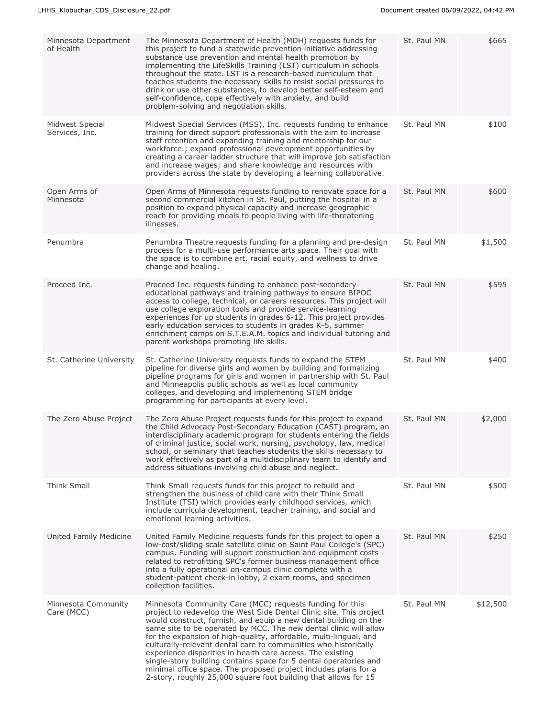| Minnesota Department<br>of Health | The Minnesota Department of Health (MDH) requests funds for<br>this project to fund a statewide prevention initiative addressing<br>substance use prevention and mental health promotion by<br>implementing the LifeSkills Training (LST) curriculum in schools<br>throughout the state. LST is a research-based curriculum that<br>teaches students the necessary skills to resist social pressures to<br>drink or use other substances, to develop better self-esteem and<br>self-confidence, cope effectively with anxiety, and build<br>problem-solving and negotiation skills.                                                                                                       | St. Paul MN | \$665    |
|-----------------------------------|-------------------------------------------------------------------------------------------------------------------------------------------------------------------------------------------------------------------------------------------------------------------------------------------------------------------------------------------------------------------------------------------------------------------------------------------------------------------------------------------------------------------------------------------------------------------------------------------------------------------------------------------------------------------------------------------|-------------|----------|
| Midwest Special<br>Services, Inc. | Midwest Special Services (MSS), Inc. requests funding to enhance<br>training for direct support professionals with the aim to increase<br>staff retention and expanding training and mentorship for our<br>workforce.; expand professional development opportunities by<br>creating a career ladder structure that will improve job satisfaction<br>and increase wages; and share knowledge and resources with<br>providers across the state by developing a learning collaborative.                                                                                                                                                                                                      | St. Paul MN | \$100    |
| Open Arms of<br>Minnesota         | Open Arms of Minnesota requests funding to renovate space for a<br>second commercial kitchen in St. Paul, putting the hospital in a<br>position to expand physical capacity and increase geographic<br>reach for providing meals to people living with life-threatening<br>illnesses.                                                                                                                                                                                                                                                                                                                                                                                                     | St. Paul MN | \$600    |
| Penumbra                          | Penumbra Theatre requests funding for a planning and pre-design<br>process for a multi-use performance arts space. Their goal with<br>the space is to combine art, racial equity, and wellness to drive<br>change and healing.                                                                                                                                                                                                                                                                                                                                                                                                                                                            | St. Paul MN | \$1,500  |
| Proceed Inc.                      | Proceed Inc. requests funding to enhance post-secondary<br>educational pathways and training pathways to ensure BIPOC<br>access to college, technical, or careers resources. This project will<br>use college exploration tools and provide service-learning<br>experiences for up students in grades 6-12. This project provides<br>early education services to students in grades K-5, summer<br>enrichment camps on S.T.E.A.M. topics and individual tutoring and<br>parent workshops promoting life skills.                                                                                                                                                                           | St. Paul MN | \$595    |
| St. Catherine University          | St. Catherine University requests funds to expand the STEM<br>pipeline for diverse girls and women by building and formalizing<br>pipeline programs for girls and women in partnership with St. Paul<br>and Minneapolis public schools as well as local community<br>colleges, and developing and implementing STEM bridge<br>programming for participants at every level.                                                                                                                                                                                                                                                                                                                | St. Paul MN | \$400    |
| The Zero Abuse Project            | The Zero Abuse Project requests funds for this project to expand<br>the Child Advocacy Post-Secondary Education (CAST) program, an<br>interdisciplinary academic program for students entering the fields<br>of criminal justice, social work, nursing, psychology, law, medical<br>school, or seminary that teaches students the skills necessary to<br>work effectively as part of a multidisciplinary team to identify and<br>address situations involving child abuse and neglect.                                                                                                                                                                                                    | St. Paul MN | \$2,000  |
| Think Small                       | Think Small requests funds for this project to rebuild and<br>strengthen the business of child care with their Think Small<br>Institute (TSI) which provides early childhood services, which<br>include curricula development, teacher training, and social and<br>emotional learning activities.                                                                                                                                                                                                                                                                                                                                                                                         | St. Paul MN | \$500    |
| United Family Medicine            | United Family Medicine requests funds for this project to open a<br>low-cost/sliding scale satellite clinic on Saint Paul College's (SPC)<br>campus. Funding will support construction and equipment costs<br>related to retrofitting SPC's former business management office<br>into a fully operational on-campus clinic complete with a<br>student-patient check-in lobby, 2 exam rooms, and specimen<br>collection facilities.                                                                                                                                                                                                                                                        | St. Paul MN | \$250    |
| Minnesota Community<br>Care (MCC) | Minnesota Community Care (MCC) requests funding for this<br>project to redevelop the West Side Dental Clinic site. This project<br>would construct, furnish, and equip a new dental building on the<br>same site to be operated by MCC. The new dental clinic will allow<br>for the expansion of high-quality, affordable, multi-lingual, and<br>culturally-relevant dental care to communities who historically<br>experience disparities in health care access. The existing<br>single-story building contains space for 5 dental operatories and<br>minimal office space. The proposed project includes plans for a<br>2-story, roughly 25,000 square foot building that allows for 15 | St. Paul MN | \$12,500 |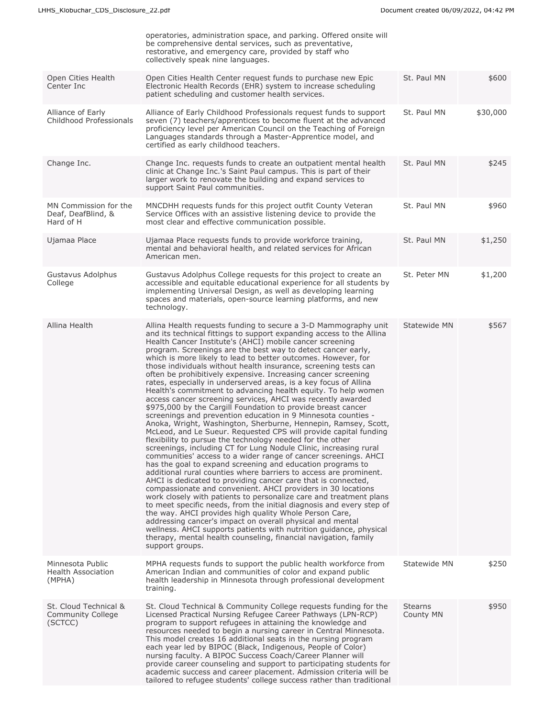|                                                          | operatories, administration space, and parking. Offered onsite will<br>be comprehensive dental services, such as preventative,<br>restorative, and emergency care, provided by staff who<br>collectively speak nine languages.                                                                                                                                                                                                                                                                                                                                                                                                                                                                                                                                                                                                                                                                                                                                                                                                                                                                                                                                                                                                                                                                                                                                                                                                                                                                                                                                                                                                                                                                                                                                                                                                                                |                             |          |
|----------------------------------------------------------|---------------------------------------------------------------------------------------------------------------------------------------------------------------------------------------------------------------------------------------------------------------------------------------------------------------------------------------------------------------------------------------------------------------------------------------------------------------------------------------------------------------------------------------------------------------------------------------------------------------------------------------------------------------------------------------------------------------------------------------------------------------------------------------------------------------------------------------------------------------------------------------------------------------------------------------------------------------------------------------------------------------------------------------------------------------------------------------------------------------------------------------------------------------------------------------------------------------------------------------------------------------------------------------------------------------------------------------------------------------------------------------------------------------------------------------------------------------------------------------------------------------------------------------------------------------------------------------------------------------------------------------------------------------------------------------------------------------------------------------------------------------------------------------------------------------------------------------------------------------|-----------------------------|----------|
| Open Cities Health<br>Center Inc                         | Open Cities Health Center request funds to purchase new Epic<br>Electronic Health Records (EHR) system to increase scheduling<br>patient scheduling and customer health services.                                                                                                                                                                                                                                                                                                                                                                                                                                                                                                                                                                                                                                                                                                                                                                                                                                                                                                                                                                                                                                                                                                                                                                                                                                                                                                                                                                                                                                                                                                                                                                                                                                                                             | St. Paul MN                 | \$600    |
| Alliance of Early<br>Childhood Professionals             | Alliance of Early Childhood Professionals request funds to support<br>seven (7) teachers/apprentices to become fluent at the advanced<br>proficiency level per American Council on the Teaching of Foreign<br>Languages standards through a Master-Apprentice model, and<br>certified as early childhood teachers.                                                                                                                                                                                                                                                                                                                                                                                                                                                                                                                                                                                                                                                                                                                                                                                                                                                                                                                                                                                                                                                                                                                                                                                                                                                                                                                                                                                                                                                                                                                                            | St. Paul MN                 | \$30,000 |
| Change Inc.                                              | Change Inc. requests funds to create an outpatient mental health<br>clinic at Change Inc.'s Saint Paul campus. This is part of their<br>larger work to renovate the building and expand services to<br>support Saint Paul communities.                                                                                                                                                                                                                                                                                                                                                                                                                                                                                                                                                                                                                                                                                                                                                                                                                                                                                                                                                                                                                                                                                                                                                                                                                                                                                                                                                                                                                                                                                                                                                                                                                        | St. Paul MN                 | \$245    |
| MN Commission for the<br>Deaf, DeafBlind, &<br>Hard of H | MNCDHH requests funds for this project outfit County Veteran<br>Service Offices with an assistive listening device to provide the<br>most clear and effective communication possible.                                                                                                                                                                                                                                                                                                                                                                                                                                                                                                                                                                                                                                                                                                                                                                                                                                                                                                                                                                                                                                                                                                                                                                                                                                                                                                                                                                                                                                                                                                                                                                                                                                                                         | St. Paul MN                 | \$960    |
| Ujamaa Place                                             | Ujamaa Place requests funds to provide workforce training,<br>mental and behavioral health, and related services for African<br>American men.                                                                                                                                                                                                                                                                                                                                                                                                                                                                                                                                                                                                                                                                                                                                                                                                                                                                                                                                                                                                                                                                                                                                                                                                                                                                                                                                                                                                                                                                                                                                                                                                                                                                                                                 | St. Paul MN                 | \$1,250  |
| Gustavus Adolphus<br>College                             | Gustavus Adolphus College requests for this project to create an<br>accessible and equitable educational experience for all students by<br>implementing Universal Design, as well as developing learning<br>spaces and materials, open-source learning platforms, and new<br>technology.                                                                                                                                                                                                                                                                                                                                                                                                                                                                                                                                                                                                                                                                                                                                                                                                                                                                                                                                                                                                                                                                                                                                                                                                                                                                                                                                                                                                                                                                                                                                                                      | St. Peter MN                | \$1,200  |
| Allina Health                                            | Allina Health requests funding to secure a 3-D Mammography unit<br>and its technical fittings to support expanding access to the Allina<br>Health Cancer Institute's (AHCI) mobile cancer screening<br>program. Screenings are the best way to detect cancer early,<br>which is more likely to lead to better outcomes. However, for<br>those individuals without health insurance, screening tests can<br>often be prohibitively expensive. Increasing cancer screening<br>rates, especially in underserved areas, is a key focus of Allina<br>Health's commitment to advancing health equity. To help women<br>access cancer screening services, AHCI was recently awarded<br>\$975,000 by the Cargill Foundation to provide breast cancer<br>screenings and prevention education in 9 Minnesota counties -<br>Anoka, Wright, Washington, Sherburne, Hennepin, Ramsey, Scott,<br>McLeod, and Le Sueur. Requested CPS will provide capital funding<br>flexibility to pursue the technology needed for the other<br>screenings, including CT for Lung Nodule Clinic, increasing rural<br>communities' access to a wider range of cancer screenings. AHCI<br>has the goal to expand screening and education programs to<br>additional rural counties where barriers to access are prominent.<br>AHCI is dedicated to providing cancer care that is connected,<br>compassionate and convenient. AHCI providers in 30 locations<br>work closely with patients to personalize care and treatment plans<br>to meet specific needs, from the initial diagnosis and every step of<br>the way. AHCI provides high quality Whole Person Care,<br>addressing cancer's impact on overall physical and mental<br>wellness. AHCI supports patients with nutrition guidance, physical<br>therapy, mental health counseling, financial navigation, family<br>support groups. | Statewide MN                | \$567    |
| Minnesota Public<br><b>Health Association</b><br>(MPHA)  | MPHA requests funds to support the public health workforce from<br>American Indian and communities of color and expand public<br>health leadership in Minnesota through professional development<br>training.                                                                                                                                                                                                                                                                                                                                                                                                                                                                                                                                                                                                                                                                                                                                                                                                                                                                                                                                                                                                                                                                                                                                                                                                                                                                                                                                                                                                                                                                                                                                                                                                                                                 | Statewide MN                | \$250    |
| St. Cloud Technical &<br>Community College<br>(SCTCC)    | St. Cloud Technical & Community College requests funding for the<br>Licensed Practical Nursing Refugee Career Pathways (LPN-RCP)<br>program to support refugees in attaining the knowledge and<br>resources needed to begin a nursing career in Central Minnesota.<br>This model creates 16 additional seats in the nursing program<br>each year led by BIPOC (Black, Indigenous, People of Color)<br>nursing faculty. A BIPOC Success Coach/Career Planner will<br>provide career counseling and support to participating students for<br>academic success and career placement. Admission criteria will be<br>tailored to refugee students' college success rather than traditional                                                                                                                                                                                                                                                                                                                                                                                                                                                                                                                                                                                                                                                                                                                                                                                                                                                                                                                                                                                                                                                                                                                                                                         | <b>Stearns</b><br>County MN | \$950    |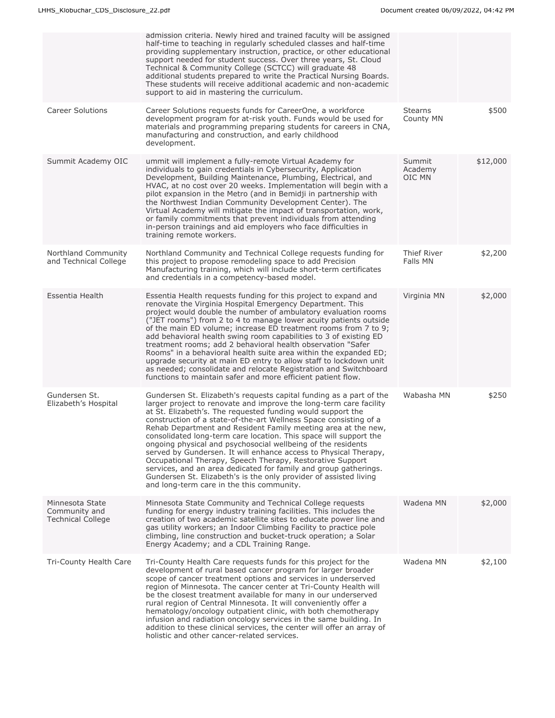|                                                              | admission criteria. Newly hired and trained faculty will be assigned<br>half-time to teaching in regularly scheduled classes and half-time<br>providing supplementary instruction, practice, or other educational<br>support needed for student success. Over three years, St. Cloud<br>Technical & Community College (SCTCC) will graduate 48<br>additional students prepared to write the Practical Nursing Boards.<br>These students will receive additional academic and non-academic<br>support to aid in mastering the curriculum.                                                                                                                                                                                                                                                                   |                             |          |
|--------------------------------------------------------------|------------------------------------------------------------------------------------------------------------------------------------------------------------------------------------------------------------------------------------------------------------------------------------------------------------------------------------------------------------------------------------------------------------------------------------------------------------------------------------------------------------------------------------------------------------------------------------------------------------------------------------------------------------------------------------------------------------------------------------------------------------------------------------------------------------|-----------------------------|----------|
| <b>Career Solutions</b>                                      | Career Solutions requests funds for CareerOne, a workforce<br>development program for at-risk youth. Funds would be used for<br>materials and programming preparing students for careers in CNA,<br>manufacturing and construction, and early childhood<br>development.                                                                                                                                                                                                                                                                                                                                                                                                                                                                                                                                    | <b>Stearns</b><br>County MN | \$500    |
| Summit Academy OIC                                           | ummit will implement a fully-remote Virtual Academy for<br>individuals to gain credentials in Cybersecurity, Application<br>Development, Building Maintenance, Plumbing, Electrical, and<br>HVAC, at no cost over 20 weeks. Implementation will begin with a<br>pilot expansion in the Metro (and in Bemidji in partnership with<br>the Northwest Indian Community Development Center). The<br>Virtual Academy will mitigate the impact of transportation, work,<br>or family commitments that prevent individuals from attending<br>in-person trainings and aid employers who face difficulties in<br>training remote workers.                                                                                                                                                                            | Summit<br>Academy<br>OIC MN | \$12,000 |
| Northland Community<br>and Technical College                 | Northland Community and Technical College requests funding for<br>this project to propose remodeling space to add Precision<br>Manufacturing training, which will include short-term certificates<br>and credentials in a competency-based model.                                                                                                                                                                                                                                                                                                                                                                                                                                                                                                                                                          | Thief River<br>Falls MN     | \$2,200  |
| Essentia Health                                              | Essentia Health requests funding for this project to expand and<br>renovate the Virginia Hospital Emergency Department. This<br>project would double the number of ambulatory evaluation rooms<br>("JET rooms") from 2 to 4 to manage lower acuity patients outside<br>of the main ED volume; increase ED treatment rooms from 7 to 9;<br>add behavioral health swing room capabilities to 3 of existing ED<br>treatment rooms; add 2 behavioral health observation "Safer<br>Rooms" in a behavioral health suite area within the expanded ED;<br>upgrade security at main ED entry to allow staff to lockdown unit<br>as needed; consolidate and relocate Registration and Switchboard<br>functions to maintain safer and more efficient patient flow.                                                    | Virginia MN                 | \$2,000  |
| Gundersen St.<br>Elizabeth's Hospital                        | Gundersen St. Elizabeth's requests capital funding as a part of the<br>larger project to renovate and improve the long-term care facility<br>at St. Elizabeth's. The requested funding would support the<br>construction of a state-of-the-art Wellness Space consisting of a<br>Rehab Department and Resident Family meeting area at the new,<br>consolidated long-term care location. This space will support the<br>ongoing physical and psychosocial wellbeing of the residents<br>served by Gundersen. It will enhance access to Physical Therapy,<br>Occupational Therapy, Speech Therapy, Restorative Support<br>services, and an area dedicated for family and group gatherings.<br>Gundersen St. Elizabeth's is the only provider of assisted living<br>and long-term care in the this community. | Wabasha MN                  | \$250    |
| Minnesota State<br>Community and<br><b>Technical College</b> | Minnesota State Community and Technical College requests<br>funding for energy industry training facilities. This includes the<br>creation of two academic satellite sites to educate power line and<br>gas utility workers; an Indoor Climbing Facility to practice pole<br>climbing, line construction and bucket-truck operation; a Solar<br>Energy Academy; and a CDL Training Range.                                                                                                                                                                                                                                                                                                                                                                                                                  | Wadena MN                   | \$2,000  |
| Tri-County Health Care                                       | Tri-County Health Care requests funds for this project for the<br>development of rural based cancer program for larger broader<br>scope of cancer treatment options and services in underserved<br>region of Minnesota. The cancer center at Tri-County Health will<br>be the closest treatment available for many in our underserved<br>rural region of Central Minnesota. It will conveniently offer a<br>hematology/oncology outpatient clinic, with both chemotherapy<br>infusion and radiation oncology services in the same building. In<br>addition to these clinical services, the center will offer an array of<br>holistic and other cancer-related services.                                                                                                                                    | Wadena MN                   | \$2,100  |